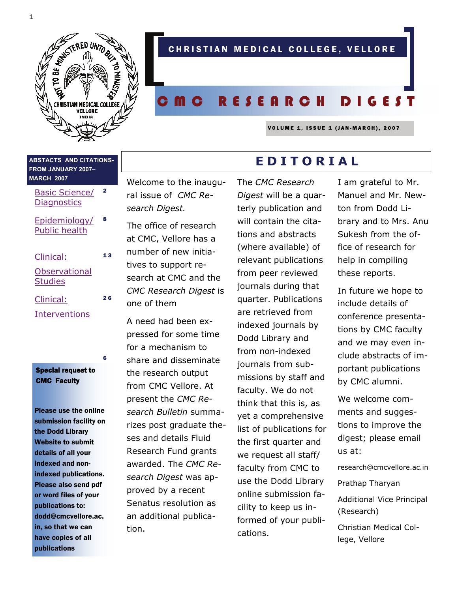

# CHRISTIAN MEDICAL COLLEGE, VELLORE

# CMC RESEARCH DIGEST

VOLUME 1, ISSUE 1 (JAN-MARCH), 2007

**EDITORIAL**

**ABSTACTS AND CITATIONS-FROM JANUARY 2007–** 

- [Basic Science/](#page-1-0)<sup>2</sup> **[Diagnostics](#page-1-0)**
- [Epidemiology/](#page-7-0) [Public health](#page-7-0)

8

6

| Clinical:                       | 13 |
|---------------------------------|----|
| Observational<br><b>Studies</b> |    |
| Clinical:                       | 26 |

## [Interventions](#page-25-0)

Special request to CMC Faculty

Please use the online submission facility on the Dodd Library Website to submit details of all your indexed and nonindexed publications. Please also send pdf or word files of your publications to: dodd@cmcvellore.ac. in, so that we can have copies of all publications

ral issue of *CMC Research Digest.* 

The office of research at CMC, Vellore has a number of new initiatives to support research at CMC and the *CMC Research Digest* is one of them

A need had been expressed for some time for a mechanism to share and disseminate the research output from CMC Vellore. At present the *CMC Research Bulletin* summarizes post graduate theses and details Fluid Research Fund grants awarded. The *CMC Research Digest* was approved by a recent Senatus resolution as an additional publication.

The *CMC Research Digest* will be a quarterly publication and will contain the citations and abstracts (where available) of relevant publications from peer reviewed journals during that quarter. Publications are retrieved from indexed journals by Dodd Library and from non-indexed journals from submissions by staff and faculty. We do not think that this is, as yet a comprehensive list of publications for the first quarter and we request all staff/ faculty from CMC to use the Dodd Library online submission facility to keep us informed of your publications.

MARCH 2007 **I Am ADACT WEIGHT UP AT A VEIGHT OF THE CONC Research** I am grateful to Mr. Manuel and Mr. Newton from Dodd Library and to Mrs. Anu Sukesh from the office of research for help in compiling these reports.

> In future we hope to include details of conference presentations by CMC faculty and we may even include abstracts of important publications by CMC alumni.

We welcome comments and suggestions to improve the digest; please email us at:

research@cmcvellore.ac.in

Prathap Tharyan

Additional Vice Principal (Research)

Christian Medical College, Vellore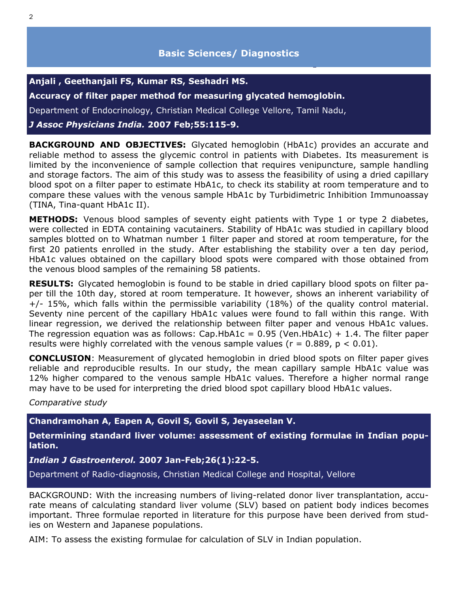<span id="page-1-0"></span>**Anjali , Geethanjali FS, Kumar RS, Seshadri MS.** 

**Accuracy of filter paper method for measuring glycated hemoglobin.** 

Department of Endocrinology, Christian Medical College Vellore, Tamil Nadu,

*J Assoc Physicians India.* **2007 Feb;55:115-9.** 

**BACKGROUND AND OBJECTIVES:** Glycated hemoglobin (HbA1c) provides an accurate and reliable method to assess the glycemic control in patients with Diabetes. Its measurement is limited by the inconvenience of sample collection that requires venipuncture, sample handling and storage factors. The aim of this study was to assess the feasibility of using a dried capillary blood spot on a filter paper to estimate HbA1c, to check its stability at room temperature and to compare these values with the venous sample HbA1c by Turbidimetric Inhibition Immunoassay (TINA, Tina-quant HbA1c II).

**METHODS:** Venous blood samples of seventy eight patients with Type 1 or type 2 diabetes, were collected in EDTA containing vacutainers. Stability of HbA1c was studied in capillary blood samples blotted on to Whatman number 1 filter paper and stored at room temperature, for the first 20 patients enrolled in the study. After establishing the stability over a ten day period, HbA1c values obtained on the capillary blood spots were compared with those obtained from the venous blood samples of the remaining 58 patients.

**RESULTS:** Glycated hemoglobin is found to be stable in dried capillary blood spots on filter paper till the 10th day, stored at room temperature. It however, shows an inherent variability of +/- 15%, which falls within the permissible variability (18%) of the quality control material. Seventy nine percent of the capillary HbA1c values were found to fall within this range. With linear regression, we derived the relationship between filter paper and venous HbA1c values. The regression equation was as follows:  $Cap.HbA1c = 0.95$  (Ven.HbA1c) + 1.4. The filter paper results were highly correlated with the venous sample values ( $r = 0.889$ ,  $p < 0.01$ ).

**CONCLUSION**: Measurement of glycated hemoglobin in dried blood spots on filter paper gives reliable and reproducible results. In our study, the mean capillary sample HbA1c value was 12% higher compared to the venous sample HbA1c values. Therefore a higher normal range may have to be used for interpreting the dried blood spot capillary blood HbA1c values.

*Comparative study* 

**Chandramohan A, Eapen A, Govil S, Govil S, Jeyaseelan V.** 

**Determining standard liver volume: assessment of existing formulae in Indian population.** 

*Indian J Gastroenterol.* **2007 Jan-Feb;26(1):22-5.** 

Department of Radio-diagnosis, Christian Medical College and Hospital, Vellore

BACKGROUND: With the increasing numbers of living-related donor liver transplantation, accurate means of calculating standard liver volume (SLV) based on patient body indices becomes important. Three formulae reported in literature for this purpose have been derived from studies on Western and Japanese populations.

AIM: To assess the existing formulae for calculation of SLV in Indian population.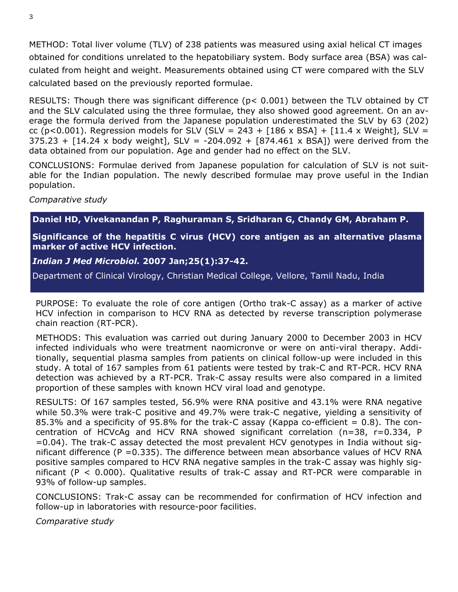METHOD: Total liver volume (TLV) of 238 patients was measured using axial helical CT images obtained for conditions unrelated to the hepatobiliary system. Body surface area (BSA) was calculated from height and weight. Measurements obtained using CT were compared with the SLV calculated based on the previously reported formulae.

RESULTS: Though there was significant difference (p< 0.001) between the TLV obtained by CT and the SLV calculated using the three formulae, they also showed good agreement. On an average the formula derived from the Japanese population underestimated the SLV by 63 (202) cc (p<0.001). Regression models for SLV (SLV = 243 + [186 x BSA] + [11.4 x Weight], SLV =  $375.23 + [14.24 \times body weight]$ , SLV = -204.092 + [874.461 x BSA]) were derived from the data obtained from our population. Age and gender had no effect on the SLV.

CONCLUSIONS: Formulae derived from Japanese population for calculation of SLV is not suitable for the Indian population. The newly described formulae may prove useful in the Indian population.

*Comparative study* 

**Daniel HD, Vivekanandan P, Raghuraman S, Sridharan G, Chandy GM, Abraham P.** 

**Significance of the hepatitis C virus (HCV) core antigen as an alternative plasma marker of active HCV infection.** 

*Indian J Med Microbiol.* **2007 Jan;25(1):37-42.** 

Department of Clinical Virology, Christian Medical College, Vellore, Tamil Nadu, India

PURPOSE: To evaluate the role of core antigen (Ortho trak-C assay) as a marker of active HCV infection in comparison to HCV RNA as detected by reverse transcription polymerase chain reaction (RT-PCR).

METHODS: This evaluation was carried out during January 2000 to December 2003 in HCV infected individuals who were treatment naomicronve or were on anti-viral therapy. Additionally, sequential plasma samples from patients on clinical follow-up were included in this study. A total of 167 samples from 61 patients were tested by trak-C and RT-PCR. HCV RNA detection was achieved by a RT-PCR. Trak-C assay results were also compared in a limited proportion of these samples with known HCV viral load and genotype.

RESULTS: Of 167 samples tested, 56.9% were RNA positive and 43.1% were RNA negative while 50.3% were trak-C positive and 49.7% were trak-C negative, yielding a sensitivity of 85.3% and a specificity of 95.8% for the trak-C assay (Kappa co-efficient  $= 0.8$ ). The concentration of HCVcAg and HCV RNA showed significant correlation (n=38, r=0.334, P =0.04). The trak-C assay detected the most prevalent HCV genotypes in India without significant difference (P =  $0.335$ ). The difference between mean absorbance values of HCV RNA positive samples compared to HCV RNA negative samples in the trak-C assay was highly significant ( $P < 0.000$ ). Qualitative results of trak-C assay and RT-PCR were comparable in 93% of follow-up samples.

CONCLUSIONS: Trak-C assay can be recommended for confirmation of HCV infection and follow-up in laboratories with resource-poor facilities.

*Comparative study*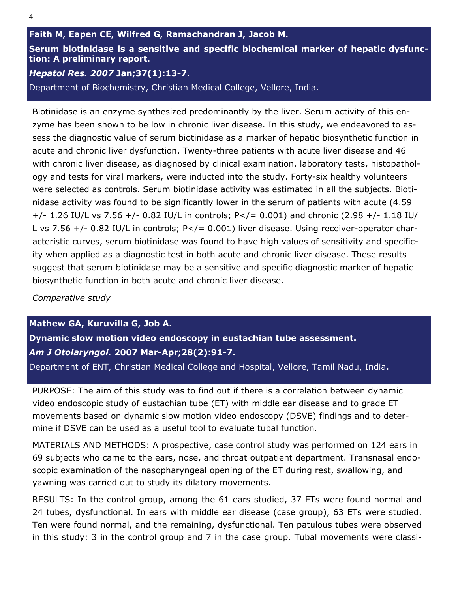#### **Faith M, Eapen CE, Wilfred G, Ramachandran J, Jacob M.**

## **Serum biotinidase is a sensitive and specific biochemical marker of hepatic dysfunction: A preliminary report.**

#### *Hepatol Res. 2007* **Jan;37(1):13-7.**

Department of Biochemistry, Christian Medical College, Vellore, India.

Biotinidase is an enzyme synthesized predominantly by the liver. Serum activity of this enzyme has been shown to be low in chronic liver disease. In this study, we endeavored to assess the diagnostic value of serum biotinidase as a marker of hepatic biosynthetic function in acute and chronic liver dysfunction. Twenty-three patients with acute liver disease and 46 with chronic liver disease, as diagnosed by clinical examination, laboratory tests, histopathology and tests for viral markers, were inducted into the study. Forty-six healthy volunteers were selected as controls. Serum biotinidase activity was estimated in all the subjects. Biotinidase activity was found to be significantly lower in the serum of patients with acute (4.59  $+/-$  1.26 IU/L vs 7.56  $+/-$  0.82 IU/L in controls; P $\lt$ /= 0.001) and chronic (2.98  $+/-$  1.18 IU/ L vs 7.56  $+/-$  0.82 IU/L in controls;  $P 0.001) liver disease. Using receiver-operator char$ acteristic curves, serum biotinidase was found to have high values of sensitivity and specificity when applied as a diagnostic test in both acute and chronic liver disease. These results suggest that serum biotinidase may be a sensitive and specific diagnostic marker of hepatic biosynthetic function in both acute and chronic liver disease.

*Comparative study*

#### **Mathew GA, Kuruvilla G, Job A.**

**Dynamic slow motion video endoscopy in eustachian tube assessment.**  *Am J Otolaryngol.* **2007 Mar-Apr;28(2):91-7.** 

Department of ENT, Christian Medical College and Hospital, Vellore, Tamil Nadu, India**.** 

PURPOSE: The aim of this study was to find out if there is a correlation between dynamic video endoscopic study of eustachian tube (ET) with middle ear disease and to grade ET movements based on dynamic slow motion video endoscopy (DSVE) findings and to determine if DSVE can be used as a useful tool to evaluate tubal function.

MATERIALS AND METHODS: A prospective, case control study was performed on 124 ears in 69 subjects who came to the ears, nose, and throat outpatient department. Transnasal endoscopic examination of the nasopharyngeal opening of the ET during rest, swallowing, and yawning was carried out to study its dilatory movements.

RESULTS: In the control group, among the 61 ears studied, 37 ETs were found normal and 24 tubes, dysfunctional. In ears with middle ear disease (case group), 63 ETs were studied. Ten were found normal, and the remaining, dysfunctional. Ten patulous tubes were observed in this study: 3 in the control group and 7 in the case group. Tubal movements were classi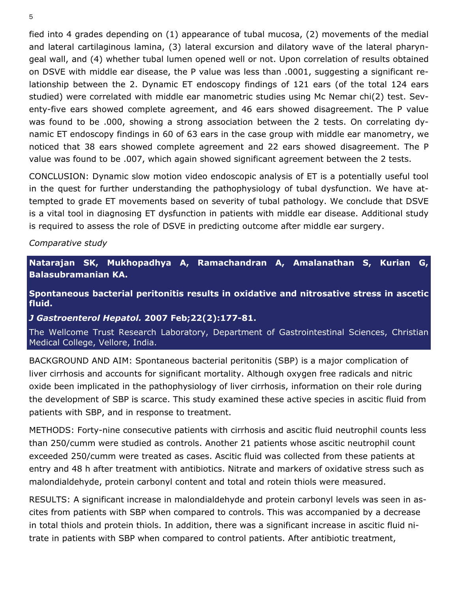fied into 4 grades depending on (1) appearance of tubal mucosa, (2) movements of the medial and lateral cartilaginous lamina, (3) lateral excursion and dilatory wave of the lateral pharyngeal wall, and (4) whether tubal lumen opened well or not. Upon correlation of results obtained on DSVE with middle ear disease, the P value was less than .0001, suggesting a significant relationship between the 2. Dynamic ET endoscopy findings of 121 ears (of the total 124 ears studied) were correlated with middle ear manometric studies using Mc Nemar chi(2) test. Seventy-five ears showed complete agreement, and 46 ears showed disagreement. The P value was found to be .000, showing a strong association between the 2 tests. On correlating dynamic ET endoscopy findings in 60 of 63 ears in the case group with middle ear manometry, we noticed that 38 ears showed complete agreement and 22 ears showed disagreement. The P value was found to be .007, which again showed significant agreement between the 2 tests.

CONCLUSION: Dynamic slow motion video endoscopic analysis of ET is a potentially useful tool in the quest for further understanding the pathophysiology of tubal dysfunction. We have attempted to grade ET movements based on severity of tubal pathology. We conclude that DSVE is a vital tool in diagnosing ET dysfunction in patients with middle ear disease. Additional study is required to assess the role of DSVE in predicting outcome after middle ear surgery.

## *Comparative study*

**Natarajan SK, Mukhopadhya A, Ramachandran A, Amalanathan S, Kurian G, Balasubramanian KA.** 

**Spontaneous bacterial peritonitis results in oxidative and nitrosative stress in ascetic fluid.** 

*J Gastroenterol Hepatol.* **2007 Feb;22(2):177-81.** 

The Wellcome Trust Research Laboratory, Department of Gastrointestinal Sciences, Christian Medical College, Vellore, India.

BACKGROUND AND AIM: Spontaneous bacterial peritonitis (SBP) is a major complication of liver cirrhosis and accounts for significant mortality. Although oxygen free radicals and nitric oxide been implicated in the pathophysiology of liver cirrhosis, information on their role during the development of SBP is scarce. This study examined these active species in ascitic fluid from patients with SBP, and in response to treatment.

METHODS: Forty-nine consecutive patients with cirrhosis and ascitic fluid neutrophil counts less than 250/cumm were studied as controls. Another 21 patients whose ascitic neutrophil count exceeded 250/cumm were treated as cases. Ascitic fluid was collected from these patients at entry and 48 h after treatment with antibiotics. Nitrate and markers of oxidative stress such as malondialdehyde, protein carbonyl content and total and rotein thiols were measured.

RESULTS: A significant increase in malondialdehyde and protein carbonyl levels was seen in ascites from patients with SBP when compared to controls. This was accompanied by a decrease in total thiols and protein thiols. In addition, there was a significant increase in ascitic fluid nitrate in patients with SBP when compared to control patients. After antibiotic treatment,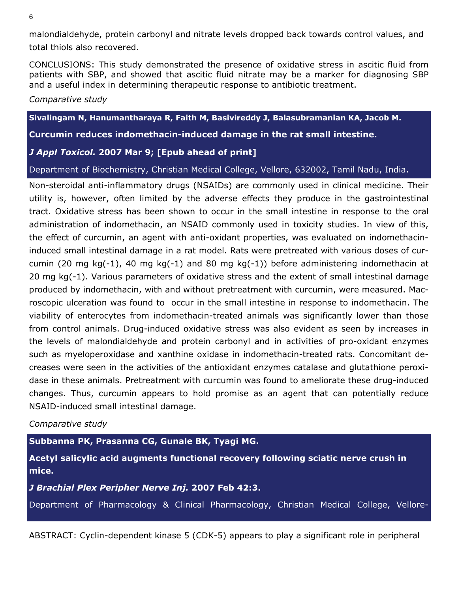malondialdehyde, protein carbonyl and nitrate levels dropped back towards control values, and total thiols also recovered.

CONCLUSIONS: This study demonstrated the presence of oxidative stress in ascitic fluid from patients with SBP, and showed that ascitic fluid nitrate may be a marker for diagnosing SBP and a useful index in determining therapeutic response to antibiotic treatment.

#### *Comparative study*

**Sivalingam N, Hanumantharaya R, Faith M, Basivireddy J, Balasubramanian KA, Jacob M. Curcumin reduces indomethacin-induced damage in the rat small intestine.** 

## *J Appl Toxicol.* **2007 Mar 9; [Epub ahead of print]**

Department of Biochemistry, Christian Medical College, Vellore, 632002, Tamil Nadu, India.

Non-steroidal anti-inflammatory drugs (NSAIDs) are commonly used in clinical medicine. Their utility is, however, often limited by the adverse effects they produce in the gastrointestinal tract. Oxidative stress has been shown to occur in the small intestine in response to the oral administration of indomethacin, an NSAID commonly used in toxicity studies. In view of this, the effect of curcumin, an agent with anti-oxidant properties, was evaluated on indomethacininduced small intestinal damage in a rat model. Rats were pretreated with various doses of curcumin (20 mg kg(-1), 40 mg kg(-1) and 80 mg kg(-1)) before administering indomethacin at 20 mg kg(-1). Various parameters of oxidative stress and the extent of small intestinal damage produced by indomethacin, with and without pretreatment with curcumin, were measured. Macroscopic ulceration was found to occur in the small intestine in response to indomethacin. The viability of enterocytes from indomethacin-treated animals was significantly lower than those from control animals. Drug-induced oxidative stress was also evident as seen by increases in the levels of malondialdehyde and protein carbonyl and in activities of pro-oxidant enzymes such as myeloperoxidase and xanthine oxidase in indomethacin-treated rats. Concomitant decreases were seen in the activities of the antioxidant enzymes catalase and glutathione peroxidase in these animals. Pretreatment with curcumin was found to ameliorate these drug-induced changes. Thus, curcumin appears to hold promise as an agent that can potentially reduce NSAID-induced small intestinal damage.

## *Comparative study*

**Subbanna PK, Prasanna CG, Gunale BK, Tyagi MG.** 

**Acetyl salicylic acid augments functional recovery following sciatic nerve crush in mice.** 

*J Brachial Plex Peripher Nerve Inj.* **2007 Feb 42:3.** 

Department of Pharmacology & Clinical Pharmacology, Christian Medical College, Vellore-

ABSTRACT: Cyclin-dependent kinase 5 (CDK-5) appears to play a significant role in peripheral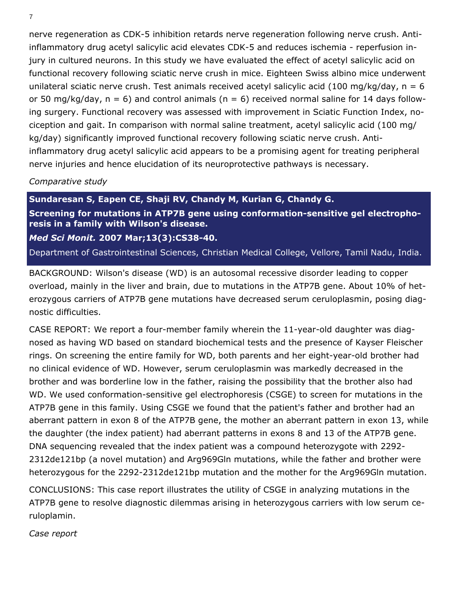nerve regeneration as CDK-5 inhibition retards nerve regeneration following nerve crush. Antiinflammatory drug acetyl salicylic acid elevates CDK-5 and reduces ischemia - reperfusion injury in cultured neurons. In this study we have evaluated the effect of acetyl salicylic acid on functional recovery following sciatic nerve crush in mice. Eighteen Swiss albino mice underwent unilateral sciatic nerve crush. Test animals received acetyl salicylic acid (100 mg/kg/day,  $n = 6$ ) or 50 mg/kg/day,  $n = 6$ ) and control animals ( $n = 6$ ) received normal saline for 14 days following surgery. Functional recovery was assessed with improvement in Sciatic Function Index, nociception and gait. In comparison with normal saline treatment, acetyl salicylic acid (100 mg/ kg/day) significantly improved functional recovery following sciatic nerve crush. Antiinflammatory drug acetyl salicylic acid appears to be a promising agent for treating peripheral nerve injuries and hence elucidation of its neuroprotective pathways is necessary.

## *Comparative study*

**Sundaresan S, Eapen CE, Shaji RV, Chandy M, Kurian G, Chandy G. Screening for mutations in ATP7B gene using conformation-sensitive gel electrophoresis in a family with Wilson's disease.** 

## *Med Sci Monit.* **2007 Mar;13(3):CS38-40.**

Department of Gastrointestinal Sciences, Christian Medical College, Vellore, Tamil Nadu, India.

BACKGROUND: Wilson's disease (WD) is an autosomal recessive disorder leading to copper overload, mainly in the liver and brain, due to mutations in the ATP7B gene. About 10% of heterozygous carriers of ATP7B gene mutations have decreased serum ceruloplasmin, posing diagnostic difficulties.

CASE REPORT: We report a four-member family wherein the 11-year-old daughter was diagnosed as having WD based on standard biochemical tests and the presence of Kayser Fleischer rings. On screening the entire family for WD, both parents and her eight-year-old brother had no clinical evidence of WD. However, serum ceruloplasmin was markedly decreased in the brother and was borderline low in the father, raising the possibility that the brother also had WD. We used conformation-sensitive gel electrophoresis (CSGE) to screen for mutations in the ATP7B gene in this family. Using CSGE we found that the patient's father and brother had an aberrant pattern in exon 8 of the ATP7B gene, the mother an aberrant pattern in exon 13, while the daughter (the index patient) had aberrant patterns in exons 8 and 13 of the ATP7B gene. DNA sequencing revealed that the index patient was a compound heterozygote with 2292- 2312de121bp (a novel mutation) and Arg969Gln mutations, while the father and brother were heterozygous for the 2292-2312de121bp mutation and the mother for the Arg969Gln mutation.

CONCLUSIONS: This case report illustrates the utility of CSGE in analyzing mutations in the ATP7B gene to resolve diagnostic dilemmas arising in heterozygous carriers with low serum ceruloplamin.

*Case report*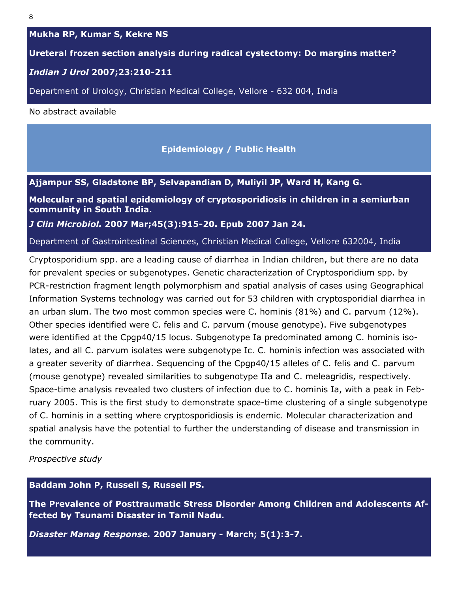## <span id="page-7-0"></span>**Mukha RP, Kumar S, Kekre NS**

**Ureteral frozen section analysis during radical cystectomy: Do margins matter?** 

#### *Indian J Urol* **2007;23:210-211**

Department of Urology, Christian Medical College, Vellore - 632 004, India

No abstract available

#### **Epidemiology / Public Health**

**Ajjampur SS, Gladstone BP, Selvapandian D, Muliyil JP, Ward H, Kang G.** 

**Molecular and spatial epidemiology of cryptosporidiosis in children in a semiurban community in South India.** 

*J Clin Microbiol.* **2007 Mar;45(3):915-20. Epub 2007 Jan 24.** 

#### Department of Gastrointestinal Sciences, Christian Medical College, Vellore 632004, India

 Cryptosporidium spp. are a leading cause of diarrhea in Indian children, but there are no data for prevalent species or subgenotypes. Genetic characterization of Cryptosporidium spp. by PCR-restriction fragment length polymorphism and spatial analysis of cases using Geographical Information Systems technology was carried out for 53 children with cryptosporidial diarrhea in an urban slum. The two most common species were C. hominis (81%) and C. parvum (12%). Other species identified were C. felis and C. parvum (mouse genotype). Five subgenotypes were identified at the Cpgp40/15 locus. Subgenotype Ia predominated among C. hominis isolates, and all C. parvum isolates were subgenotype Ic. C. hominis infection was associated with a greater severity of diarrhea. Sequencing of the Cpgp40/15 alleles of C. felis and C. parvum (mouse genotype) revealed similarities to subgenotype IIa and C. meleagridis, respectively. Space-time analysis revealed two clusters of infection due to C. hominis Ia, with a peak in February 2005. This is the first study to demonstrate space-time clustering of a single subgenotype of C. hominis in a setting where cryptosporidiosis is endemic. Molecular characterization and spatial analysis have the potential to further the understanding of disease and transmission in the community.

*Prospective study*

**Baddam John P, Russell S, Russell PS.** 

**The Prevalence of Posttraumatic Stress Disorder Among Children and Adolescents Affected by Tsunami Disaster in Tamil Nadu.** 

*Disaster Manag Response.* **2007 January - March; 5(1):3-7.**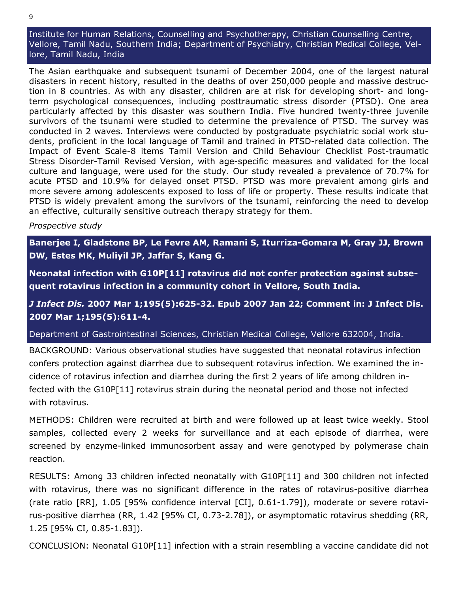Institute for Human Relations, Counselling and Psychotherapy, Christian Counselling Centre, Vellore, Tamil Nadu, Southern India; Department of Psychiatry, Christian Medical College, Vellore, Tamil Nadu, India

The Asian earthquake and subsequent tsunami of December 2004, one of the largest natural disasters in recent history, resulted in the deaths of over 250,000 people and massive destruction in 8 countries. As with any disaster, children are at risk for developing short- and longterm psychological consequences, including posttraumatic stress disorder (PTSD). One area particularly affected by this disaster was southern India. Five hundred twenty-three juvenile survivors of the tsunami were studied to determine the prevalence of PTSD. The survey was conducted in 2 waves. Interviews were conducted by postgraduate psychiatric social work students, proficient in the local language of Tamil and trained in PTSD-related data collection. The Impact of Event Scale-8 items Tamil Version and Child Behaviour Checklist Post-traumatic Stress Disorder-Tamil Revised Version, with age-specific measures and validated for the local culture and language, were used for the study. Our study revealed a prevalence of 70.7% for acute PTSD and 10.9% for delayed onset PTSD. PTSD was more prevalent among girls and more severe among adolescents exposed to loss of life or property. These results indicate that PTSD is widely prevalent among the survivors of the tsunami, reinforcing the need to develop an effective, culturally sensitive outreach therapy strategy for them.

## *Prospective study*

**Banerjee I, Gladstone BP, Le Fevre AM, Ramani S, Iturriza-Gomara M, Gray JJ, Brown DW, Estes MK, Muliyil JP, Jaffar S, Kang G.** 

**Neonatal infection with G10P[11] rotavirus did not confer protection against subsequent rotavirus infection in a community cohort in Vellore, South India.** 

*J Infect Dis.* **2007 Mar 1;195(5):625-32. Epub 2007 Jan 22; Comment in: J Infect Dis. 2007 Mar 1;195(5):611-4.** 

Department of Gastrointestinal Sciences, Christian Medical College, Vellore 632004, India.

BACKGROUND: Various observational studies have suggested that neonatal rotavirus infection confers protection against diarrhea due to subsequent rotavirus infection. We examined the incidence of rotavirus infection and diarrhea during the first 2 years of life among children infected with the G10P[11] rotavirus strain during the neonatal period and those not infected with rotavirus.

METHODS: Children were recruited at birth and were followed up at least twice weekly. Stool samples, collected every 2 weeks for surveillance and at each episode of diarrhea, were screened by enzyme-linked immunosorbent assay and were genotyped by polymerase chain reaction.

RESULTS: Among 33 children infected neonatally with G10P[11] and 300 children not infected with rotavirus, there was no significant difference in the rates of rotavirus-positive diarrhea (rate ratio [RR], 1.05 [95% confidence interval [CI], 0.61-1.79]), moderate or severe rotavirus-positive diarrhea (RR, 1.42 [95% CI, 0.73-2.78]), or asymptomatic rotavirus shedding (RR, 1.25 [95% CI, 0.85-1.83]).

CONCLUSION: Neonatal G10P[11] infection with a strain resembling a vaccine candidate did not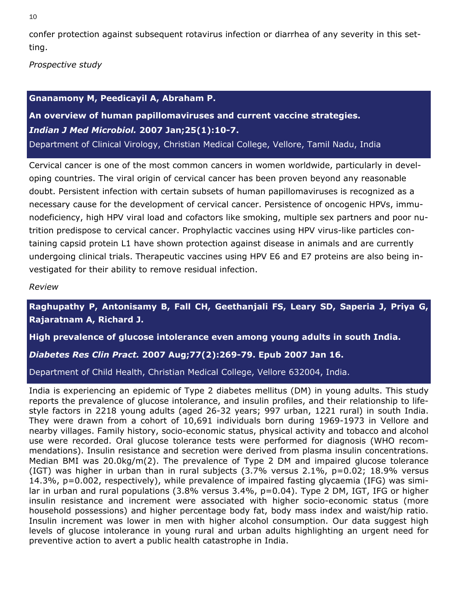confer protection against subsequent rotavirus infection or diarrhea of any severity in this setting.

*Prospective study*

## **Gnanamony M, Peedicayil A, Abraham P.**

# **An overview of human papillomaviruses and current vaccine strategies.**  *Indian J Med Microbiol.* **2007 Jan;25(1):10-7.**

Department of Clinical Virology, Christian Medical College, Vellore, Tamil Nadu, India

Cervical cancer is one of the most common cancers in women worldwide, particularly in developing countries. The viral origin of cervical cancer has been proven beyond any reasonable doubt. Persistent infection with certain subsets of human papillomaviruses is recognized as a necessary cause for the development of cervical cancer. Persistence of oncogenic HPVs, immunodeficiency, high HPV viral load and cofactors like smoking, multiple sex partners and poor nutrition predispose to cervical cancer. Prophylactic vaccines using HPV virus-like particles containing capsid protein L1 have shown protection against disease in animals and are currently undergoing clinical trials. Therapeutic vaccines using HPV E6 and E7 proteins are also being investigated for their ability to remove residual infection.

*Review*

**Raghupathy P, Antonisamy B, Fall CH, Geethanjali FS, Leary SD, Saperia J, Priya G, Rajaratnam A, Richard J.** 

**High prevalence of glucose intolerance even among young adults in south India.** 

## *Diabetes Res Clin Pract.* **2007 Aug;77(2):269-79. Epub 2007 Jan 16.**

Department of Child Health, Christian Medical College, Vellore 632004, India.

India is experiencing an epidemic of Type 2 diabetes mellitus (DM) in young adults. This study reports the prevalence of glucose intolerance, and insulin profiles, and their relationship to lifestyle factors in 2218 young adults (aged 26-32 years; 997 urban, 1221 rural) in south India. They were drawn from a cohort of 10,691 individuals born during 1969-1973 in Vellore and nearby villages. Family history, socio-economic status, physical activity and tobacco and alcohol use were recorded. Oral glucose tolerance tests were performed for diagnosis (WHO recommendations). Insulin resistance and secretion were derived from plasma insulin concentrations. Median BMI was 20.0kg/m(2). The prevalence of Type 2 DM and impaired glucose tolerance (IGT) was higher in urban than in rural subjects (3.7% versus 2.1%, p=0.02; 18.9% versus 14.3%, p=0.002, respectively), while prevalence of impaired fasting glycaemia (IFG) was similar in urban and rural populations (3.8% versus 3.4%, p=0.04). Type 2 DM, IGT, IFG or higher insulin resistance and increment were associated with higher socio-economic status (more household possessions) and higher percentage body fat, body mass index and waist/hip ratio. Insulin increment was lower in men with higher alcohol consumption. Our data suggest high levels of glucose intolerance in young rural and urban adults highlighting an urgent need for preventive action to avert a public health catastrophe in India.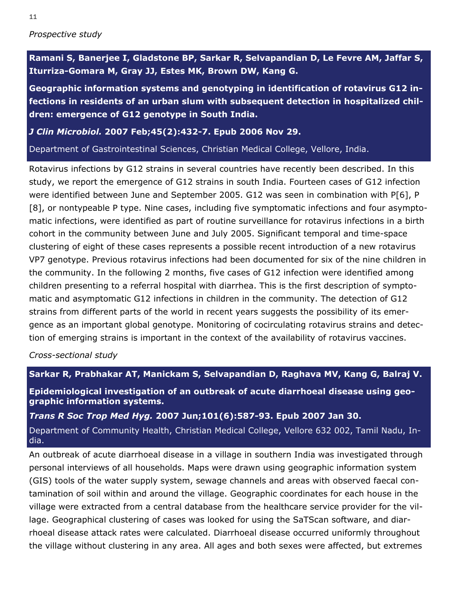## *Prospective study*

**Ramani S, Banerjee I, Gladstone BP, Sarkar R, Selvapandian D, Le Fevre AM, Jaffar S, Iturriza-Gomara M, Gray JJ, Estes MK, Brown DW, Kang G.** 

**Geographic information systems and genotyping in identification of rotavirus G12 infections in residents of an urban slum with subsequent detection in hospitalized children: emergence of G12 genotype in South India.** 

*J Clin Microbiol.* **2007 Feb;45(2):432-7. Epub 2006 Nov 29.**

Department of Gastrointestinal Sciences, Christian Medical College, Vellore, India.

Rotavirus infections by G12 strains in several countries have recently been described. In this study, we report the emergence of G12 strains in south India. Fourteen cases of G12 infection were identified between June and September 2005. G12 was seen in combination with P[6], P [8], or nontypeable P type. Nine cases, including five symptomatic infections and four asymptomatic infections, were identified as part of routine surveillance for rotavirus infections in a birth cohort in the community between June and July 2005. Significant temporal and time-space clustering of eight of these cases represents a possible recent introduction of a new rotavirus VP7 genotype. Previous rotavirus infections had been documented for six of the nine children in the community. In the following 2 months, five cases of G12 infection were identified among children presenting to a referral hospital with diarrhea. This is the first description of symptomatic and asymptomatic G12 infections in children in the community. The detection of G12 strains from different parts of the world in recent years suggests the possibility of its emergence as an important global genotype. Monitoring of cocirculating rotavirus strains and detection of emerging strains is important in the context of the availability of rotavirus vaccines.

*Cross-sectional study*

**Sarkar R, Prabhakar AT, Manickam S, Selvapandian D, Raghava MV, Kang G, Balraj V.** 

**Epidemiological investigation of an outbreak of acute diarrhoeal disease using geographic information systems.** 

*Trans R Soc Trop Med Hyg.* **2007 Jun;101(6):587-93. Epub 2007 Jan 30.** 

Department of Community Health, Christian Medical College, Vellore 632 002, Tamil Nadu, India.

An outbreak of acute diarrhoeal disease in a village in southern India was investigated through personal interviews of all households. Maps were drawn using geographic information system (GIS) tools of the water supply system, sewage channels and areas with observed faecal contamination of soil within and around the village. Geographic coordinates for each house in the village were extracted from a central database from the healthcare service provider for the village. Geographical clustering of cases was looked for using the SaTScan software, and diarrhoeal disease attack rates were calculated. Diarrhoeal disease occurred uniformly throughout the village without clustering in any area. All ages and both sexes were affected, but extremes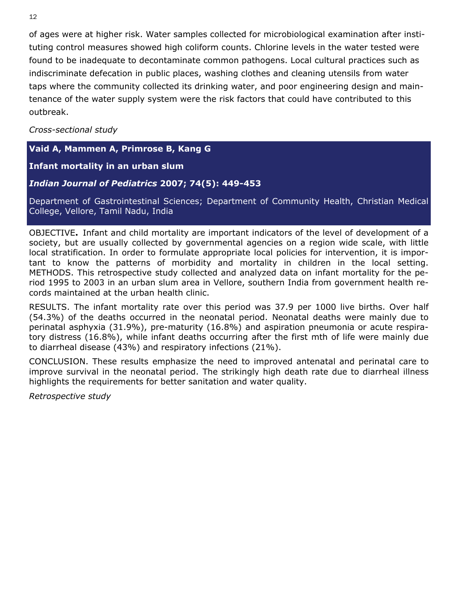of ages were at higher risk. Water samples collected for microbiological examination after instituting control measures showed high coliform counts. Chlorine levels in the water tested were found to be inadequate to decontaminate common pathogens. Local cultural practices such as indiscriminate defecation in public places, washing clothes and cleaning utensils from water taps where the community collected its drinking water, and poor engineering design and maintenance of the water supply system were the risk factors that could have contributed to this outbreak.

*Cross-sectional study*

# **Vaid A, Mammen A, Primrose B, Kang G**

**Infant mortality in an urban slum** 

# *Indian Journal of Pediatrics* **2007; 74(5): 449-453**

Department of Gastrointestinal Sciences; Department of Community Health, Christian Medical College, Vellore, Tamil Nadu, India

OBJECTIVE**.** Infant and child mortality are important indicators of the level of development of a society, but are usually collected by governmental agencies on a region wide scale, with little local stratification. In order to formulate appropriate local policies for intervention, it is important to know the patterns of morbidity and mortality in children in the local setting. METHODS. This retrospective study collected and analyzed data on infant mortality for the period 1995 to 2003 in an urban slum area in Vellore, southern India from government health records maintained at the urban health clinic.

RESULTS. The infant mortality rate over this period was 37.9 per 1000 live births. Over half (54.3%) of the deaths occurred in the neonatal period. Neonatal deaths were mainly due to perinatal asphyxia (31.9%), pre-maturity (16.8%) and aspiration pneumonia or acute respiratory distress (16.8%), while infant deaths occurring after the first mth of life were mainly due to diarrheal disease (43%) and respiratory infections (21%).

CONCLUSION. These results emphasize the need to improved antenatal and perinatal care to improve survival in the neonatal period. The strikingly high death rate due to diarrheal illness highlights the requirements for better sanitation and water quality.

*Retrospective study*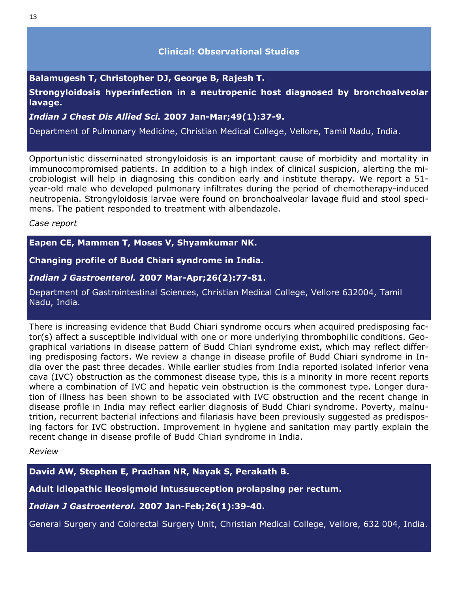#### **Clinical: Observational Studies**

#### <span id="page-12-0"></span>**Balamugesh T, Christopher DJ, George B, Rajesh T.**

**Strongyloidosis hyperinfection in a neutropenic host diagnosed by bronchoalveolar lavage.** 

## *Indian J Chest Dis Allied Sci.* **2007 Jan-Mar;49(1):37-9.**

Department of Pulmonary Medicine, Christian Medical College, Vellore, Tamil Nadu, India.

Opportunistic disseminated strongyloidosis is an important cause of morbidity and mortality in immunocompromised patients. In addition to a high index of clinical suspicion, alerting the microbiologist will help in diagnosing this condition early and institute therapy. We report a 51 year-old male who developed pulmonary infiltrates during the period of chemotherapy-induced neutropenia. Strongyloidosis larvae were found on bronchoalveolar lavage fluid and stool specimens. The patient responded to treatment with albendazole.

*Case report* 

**Eapen CE, Mammen T, Moses V, Shyamkumar NK.** 

**Changing profile of Budd Chiari syndrome in India.** 

#### *Indian J Gastroenterol.* **2007 Mar-Apr;26(2):77-81.**

Department of Gastrointestinal Sciences, Christian Medical College, Vellore 632004, Tamil Nadu, India.

There is increasing evidence that Budd Chiari syndrome occurs when acquired predisposing factor(s) affect a susceptible individual with one or more underlying thrombophilic conditions. Geographical variations in disease pattern of Budd Chiari syndrome exist, which may reflect differing predisposing factors. We review a change in disease profile of Budd Chiari syndrome in India over the past three decades. While earlier studies from India reported isolated inferior vena cava (IVC) obstruction as the commonest disease type, this is a minority in more recent reports where a combination of IVC and hepatic vein obstruction is the commonest type. Longer duration of illness has been shown to be associated with IVC obstruction and the recent change in disease profile in India may reflect earlier diagnosis of Budd Chiari syndrome. Poverty, malnutrition, recurrent bacterial infections and filariasis have been previously suggested as predisposing factors for IVC obstruction. Improvement in hygiene and sanitation may partly explain the recent change in disease profile of Budd Chiari syndrome in India.

#### *Review*

**David AW, Stephen E, Pradhan NR, Nayak S, Perakath B.** 

**Adult idiopathic ileosigmoid intussusception prolapsing per rectum.** 

*Indian J Gastroenterol.* **2007 Jan-Feb;26(1):39-40.** 

General Surgery and Colorectal Surgery Unit, Christian Medical College, Vellore, 632 004, India.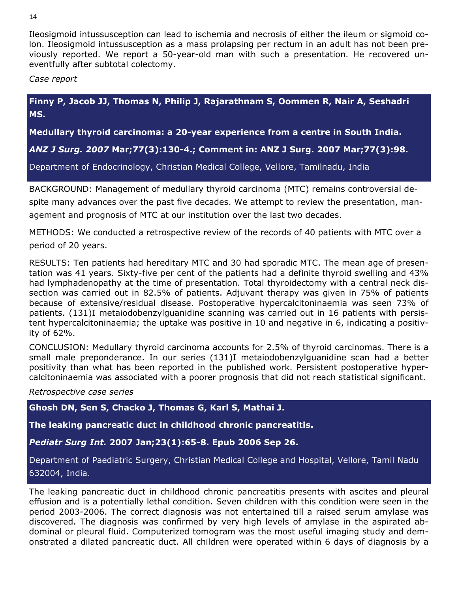Ileosigmoid intussusception can lead to ischemia and necrosis of either the ileum or sigmoid colon. Ileosigmoid intussusception as a mass prolapsing per rectum in an adult has not been previously reported. We report a 50-year-old man with such a presentation. He recovered uneventfully after subtotal colectomy.

*Case report* 

**Finny P, Jacob JJ, Thomas N, Philip J, Rajarathnam S, Oommen R, Nair A, Seshadri MS.** 

**Medullary thyroid carcinoma: a 20-year experience from a centre in South India.** 

*ANZ J Surg. 2007* **Mar;77(3):130-4.; Comment in: ANZ J Surg. 2007 Mar;77(3):98.** 

Department of Endocrinology, Christian Medical College, Vellore, Tamilnadu, India

BACKGROUND: Management of medullary thyroid carcinoma (MTC) remains controversial despite many advances over the past five decades. We attempt to review the presentation, management and prognosis of MTC at our institution over the last two decades.

METHODS: We conducted a retrospective review of the records of 40 patients with MTC over a period of 20 years.

RESULTS: Ten patients had hereditary MTC and 30 had sporadic MTC. The mean age of presentation was 41 years. Sixty-five per cent of the patients had a definite thyroid swelling and 43% had lymphadenopathy at the time of presentation. Total thyroidectomy with a central neck dissection was carried out in 82.5% of patients. Adjuvant therapy was given in 75% of patients because of extensive/residual disease. Postoperative hypercalcitoninaemia was seen 73% of patients. (131)I metaiodobenzylguanidine scanning was carried out in 16 patients with persistent hypercalcitoninaemia; the uptake was positive in 10 and negative in 6, indicating a positivity of 62%.

CONCLUSION: Medullary thyroid carcinoma accounts for 2.5% of thyroid carcinomas. There is a small male preponderance. In our series (131)I metaiodobenzylguanidine scan had a better positivity than what has been reported in the published work. Persistent postoperative hypercalcitoninaemia was associated with a poorer prognosis that did not reach statistical significant.

*Retrospective case series* 

**Ghosh DN, Sen S, Chacko J, Thomas G, Karl S, Mathai J.** 

**The leaking pancreatic duct in childhood chronic pancreatitis.** 

*Pediatr Surg Int.* **2007 Jan;23(1):65-8. Epub 2006 Sep 26.** 

Department of Paediatric Surgery, Christian Medical College and Hospital, Vellore, Tamil Nadu 632004, India.

The leaking pancreatic duct in childhood chronic pancreatitis presents with ascites and pleural effusion and is a potentially lethal condition. Seven children with this condition were seen in the period 2003-2006. The correct diagnosis was not entertained till a raised serum amylase was discovered. The diagnosis was confirmed by very high levels of amylase in the aspirated abdominal or pleural fluid. Computerized tomogram was the most useful imaging study and demonstrated a dilated pancreatic duct. All children were operated within 6 days of diagnosis by a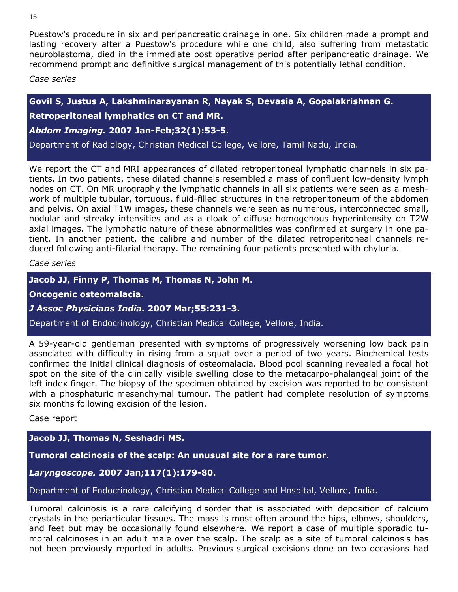Puestow's procedure in six and peripancreatic drainage in one. Six children made a prompt and lasting recovery after a Puestow's procedure while one child, also suffering from metastatic neuroblastoma, died in the immediate post operative period after peripancreatic drainage. We recommend prompt and definitive surgical management of this potentially lethal condition.

*Case series* 

# **Govil S, Justus A, Lakshminarayanan R, Nayak S, Devasia A, Gopalakrishnan G.**

## **Retroperitoneal lymphatics on CT and MR.**

## *Abdom Imaging.* **2007 Jan-Feb;32(1):53-5.**

Department of Radiology, Christian Medical College, Vellore, Tamil Nadu, India.

We report the CT and MRI appearances of dilated retroperitoneal lymphatic channels in six patients. In two patients, these dilated channels resembled a mass of confluent low-density lymph nodes on CT. On MR urography the lymphatic channels in all six patients were seen as a meshwork of multiple tubular, tortuous, fluid-filled structures in the retroperitoneum of the abdomen and pelvis. On axial T1W images, these channels were seen as numerous, interconnected small, nodular and streaky intensities and as a cloak of diffuse homogenous hyperintensity on T2W axial images. The lymphatic nature of these abnormalities was confirmed at surgery in one patient. In another patient, the calibre and number of the dilated retroperitoneal channels reduced following anti-filarial therapy. The remaining four patients presented with chyluria.

*Case series* 

**Jacob JJ, Finny P, Thomas M, Thomas N, John M.** 

**Oncogenic osteomalacia.** 

*J Assoc Physicians India.* **2007 Mar;55:231-3.** 

Department of Endocrinology, Christian Medical College, Vellore, India.

A 59-year-old gentleman presented with symptoms of progressively worsening low back pain associated with difficulty in rising from a squat over a period of two years. Biochemical tests confirmed the initial clinical diagnosis of osteomalacia. Blood pool scanning revealed a focal hot spot on the site of the clinically visible swelling close to the metacarpo-phalangeal joint of the left index finger. The biopsy of the specimen obtained by excision was reported to be consistent with a phosphaturic mesenchymal tumour. The patient had complete resolution of symptoms six months following excision of the lesion.

Case report

**Jacob JJ, Thomas N, Seshadri MS.** 

**Tumoral calcinosis of the scalp: An unusual site for a rare tumor.** 

# *Laryngoscope.* **2007 Jan;117(1):179-80.**

Department of Endocrinology, Christian Medical College and Hospital, Vellore, India.

Tumoral calcinosis is a rare calcifying disorder that is associated with deposition of calcium crystals in the periarticular tissues. The mass is most often around the hips, elbows, shoulders, and feet but may be occasionally found elsewhere. We report a case of multiple sporadic tumoral calcinoses in an adult male over the scalp. The scalp as a site of tumoral calcinosis has not been previously reported in adults. Previous surgical excisions done on two occasions had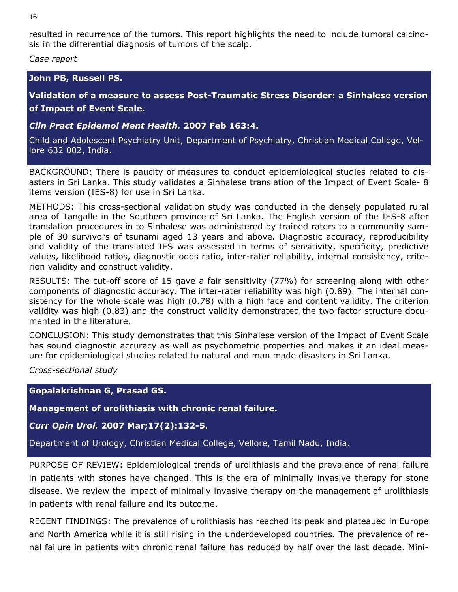16

resulted in recurrence of the tumors. This report highlights the need to include tumoral calcinosis in the differential diagnosis of tumors of the scalp.

*Case report* 

## **John PB, Russell PS.**

**Validation of a measure to assess Post-Traumatic Stress Disorder: a Sinhalese version of Impact of Event Scale.** 

*Clin Pract Epidemol Ment Health.* **2007 Feb 163:4.** 

Child and Adolescent Psychiatry Unit, Department of Psychiatry, Christian Medical College, Vellore 632 002, India.

BACKGROUND: There is paucity of measures to conduct epidemiological studies related to disasters in Sri Lanka. This study validates a Sinhalese translation of the Impact of Event Scale- 8 items version (IES-8) for use in Sri Lanka.

METHODS: This cross-sectional validation study was conducted in the densely populated rural area of Tangalle in the Southern province of Sri Lanka. The English version of the IES-8 after translation procedures in to Sinhalese was administered by trained raters to a community sample of 30 survivors of tsunami aged 13 years and above. Diagnostic accuracy, reproducibility and validity of the translated IES was assessed in terms of sensitivity, specificity, predictive values, likelihood ratios, diagnostic odds ratio, inter-rater reliability, internal consistency, criterion validity and construct validity.

RESULTS: The cut-off score of 15 gave a fair sensitivity (77%) for screening along with other components of diagnostic accuracy. The inter-rater reliability was high (0.89). The internal consistency for the whole scale was high (0.78) with a high face and content validity. The criterion validity was high (0.83) and the construct validity demonstrated the two factor structure documented in the literature.

CONCLUSION: This study demonstrates that this Sinhalese version of the Impact of Event Scale has sound diagnostic accuracy as well as psychometric properties and makes it an ideal measure for epidemiological studies related to natural and man made disasters in Sri Lanka.

*Cross-sectional study*

**Gopalakrishnan G, Prasad GS.** 

**Management of urolithiasis with chronic renal failure.** 

*Curr Opin Urol.* **2007 Mar;17(2):132-5.** 

Department of Urology, Christian Medical College, Vellore, Tamil Nadu, India.

PURPOSE OF REVIEW: Epidemiological trends of urolithiasis and the prevalence of renal failure in patients with stones have changed. This is the era of minimally invasive therapy for stone disease. We review the impact of minimally invasive therapy on the management of urolithiasis in patients with renal failure and its outcome.

RECENT FINDINGS: The prevalence of urolithiasis has reached its peak and plateaued in Europe and North America while it is still rising in the underdeveloped countries. The prevalence of renal failure in patients with chronic renal failure has reduced by half over the last decade. Mini-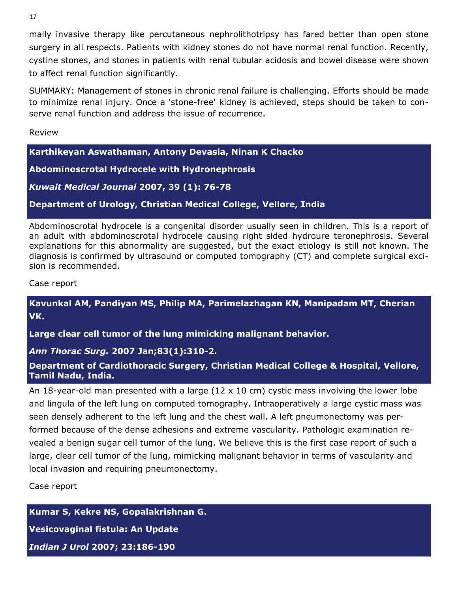mally invasive therapy like percutaneous nephrolithotripsy has fared better than open stone surgery in all respects. Patients with kidney stones do not have normal renal function. Recently, cystine stones, and stones in patients with renal tubular acidosis and bowel disease were shown to affect renal function significantly.

SUMMARY: Management of stones in chronic renal failure is challenging. Efforts should be made to minimize renal injury. Once a 'stone-free' kidney is achieved, steps should be taken to conserve renal function and address the issue of recurrence.

Review

**Karthikeyan Aswathaman, Antony Devasia, Ninan K Chacko** 

**Abdominoscrotal Hydrocele with Hydronephrosis** 

*Kuwait Medical Journal* **2007, 39 (1): 76-78** 

**Department of Urology, Christian Medical College, Vellore, India** 

Abdominoscrotal hydrocele is a congenital disorder usually seen in children. This is a report of an adult with abdominoscrotal hydrocele causing right sided hydroure teronephrosis. Several explanations for this abnormality are suggested, but the exact etiology is still not known. The diagnosis is confirmed by ultrasound or computed tomography (CT) and complete surgical excision is recommended.

Case report

**Kavunkal AM, Pandiyan MS, Philip MA, Parimelazhagan KN, Manipadam MT, Cherian VK.** 

**Large clear cell tumor of the lung mimicking malignant behavior.** 

*Ann Thorac Surg.* **2007 Jan;83(1):310-2.** 

**Department of Cardiothoracic Surgery, Christian Medical College & Hospital, Vellore, Tamil Nadu, India.** 

An 18-year-old man presented with a large  $(12 \times 10 \text{ cm})$  cystic mass involving the lower lobe and lingula of the left lung on computed tomography. Intraoperatively a large cystic mass was seen densely adherent to the left lung and the chest wall. A left pneumonectomy was performed because of the dense adhesions and extreme vascularity. Pathologic examination revealed a benign sugar cell tumor of the lung. We believe this is the first case report of such a large, clear cell tumor of the lung, mimicking malignant behavior in terms of vascularity and local invasion and requiring pneumonectomy.

Case report

**Kumar S, Kekre NS, Gopalakrishnan G. Vesicovaginal fistula: An Update**  *Indian J Urol* **2007; 23:186-190** 

17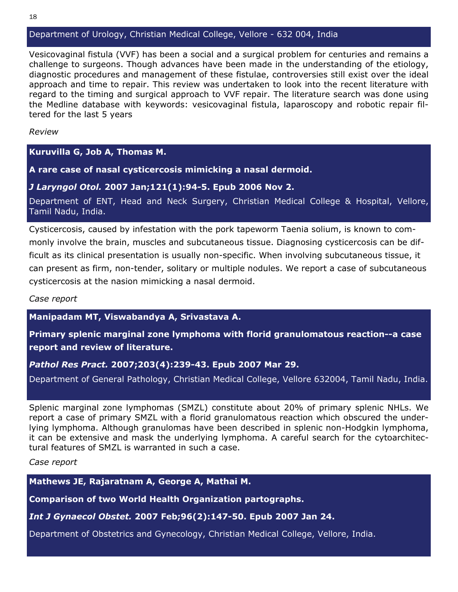## Department of Urology, Christian Medical College, Vellore - 632 004, India

Vesicovaginal fistula (VVF) has been a social and a surgical problem for centuries and remains a challenge to surgeons. Though advances have been made in the understanding of the etiology, diagnostic procedures and management of these fistulae, controversies still exist over the ideal approach and time to repair. This review was undertaken to look into the recent literature with regard to the timing and surgical approach to VVF repair. The literature search was done using the Medline database with keywords: vesicovaginal fistula, laparoscopy and robotic repair filtered for the last 5 years

*Review* 

**Kuruvilla G, Job A, Thomas M.** 

**A rare case of nasal cysticercosis mimicking a nasal dermoid.** 

## *J Laryngol Otol.* **2007 Jan;121(1):94-5. Epub 2006 Nov 2.**

Department of ENT, Head and Neck Surgery, Christian Medical College & Hospital, Vellore, Tamil Nadu, India.

Cysticercosis, caused by infestation with the pork tapeworm Taenia solium, is known to commonly involve the brain, muscles and subcutaneous tissue. Diagnosing cysticercosis can be difficult as its clinical presentation is usually non-specific. When involving subcutaneous tissue, it can present as firm, non-tender, solitary or multiple nodules. We report a case of subcutaneous cysticercosis at the nasion mimicking a nasal dermoid.

*Case report*

**Manipadam MT, Viswabandya A, Srivastava A.** 

**Primary splenic marginal zone lymphoma with florid granulomatous reaction--a case report and review of literature.** 

*Pathol Res Pract.* **2007;203(4):239-43. Epub 2007 Mar 29.** 

Department of General Pathology, Christian Medical College, Vellore 632004, Tamil Nadu, India.

Splenic marginal zone lymphomas (SMZL) constitute about 20% of primary splenic NHLs. We report a case of primary SMZL with a florid granulomatous reaction which obscured the underlying lymphoma. Although granulomas have been described in splenic non-Hodgkin lymphoma, it can be extensive and mask the underlying lymphoma. A careful search for the cytoarchitectural features of SMZL is warranted in such a case.

*Case report* 

**Mathews JE, Rajaratnam A, George A, Mathai M.** 

**Comparison of two World Health Organization partographs.** 

*Int J Gynaecol Obstet.* **2007 Feb;96(2):147-50. Epub 2007 Jan 24.** 

Department of Obstetrics and Gynecology, Christian Medical College, Vellore, India.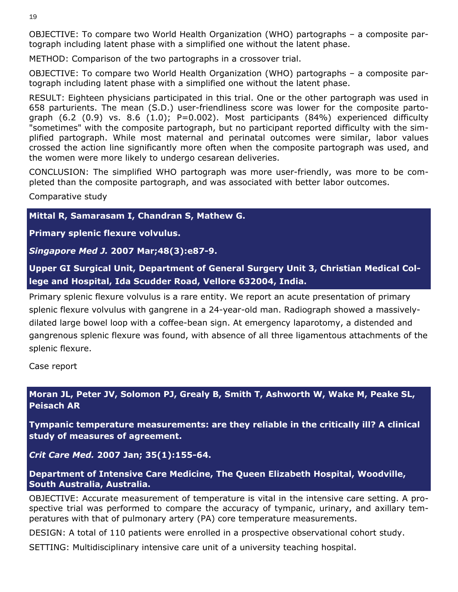OBJECTIVE: To compare two World Health Organization (WHO) partographs – a composite partograph including latent phase with a simplified one without the latent phase.

METHOD: Comparison of the two partographs in a crossover trial.

OBJECTIVE: To compare two World Health Organization (WHO) partographs – a composite partograph including latent phase with a simplified one without the latent phase.

RESULT: Eighteen physicians participated in this trial. One or the other partograph was used in 658 parturients. The mean (S.D.) user-friendliness score was lower for the composite partograph (6.2 (0.9) vs. 8.6 (1.0); P=0.002). Most participants (84%) experienced difficulty "sometimes" with the composite partograph, but no participant reported difficulty with the simplified partograph. While most maternal and perinatal outcomes were similar, labor values crossed the action line significantly more often when the composite partograph was used, and the women were more likely to undergo cesarean deliveries.

CONCLUSION: The simplified WHO partograph was more user-friendly, was more to be completed than the composite partograph, and was associated with better labor outcomes.

## Comparative study

**Mittal R, Samarasam I, Chandran S, Mathew G.** 

**Primary splenic flexure volvulus.** 

*Singapore Med J.* **2007 Mar;48(3):e87-9.** 

**Upper GI Surgical Unit, Department of General Surgery Unit 3, Christian Medical College and Hospital, Ida Scudder Road, Vellore 632004, India.**

Primary splenic flexure volvulus is a rare entity. We report an acute presentation of primary splenic flexure volvulus with gangrene in a 24-year-old man. Radiograph showed a massivelydilated large bowel loop with a coffee-bean sign. At emergency laparotomy, a distended and gangrenous splenic flexure was found, with absence of all three ligamentous attachments of the splenic flexure.

Case report

## **Moran JL, Peter JV, Solomon PJ, Grealy B, Smith T, Ashworth W, Wake M, Peake SL, Peisach AR**

**Tympanic temperature measurements: are they reliable in the critically ill? A clinical study of measures of agreement.** 

*Crit Care Med.* **2007 Jan; 35(1):155-64.** 

**Department of Intensive Care Medicine, The Queen Elizabeth Hospital, Woodville, South Australia, Australia.** 

OBJECTIVE: Accurate measurement of temperature is vital in the intensive care setting. A prospective trial was performed to compare the accuracy of tympanic, urinary, and axillary temperatures with that of pulmonary artery (PA) core temperature measurements.

DESIGN: A total of 110 patients were enrolled in a prospective observational cohort study.

SETTING: Multidisciplinary intensive care unit of a university teaching hospital.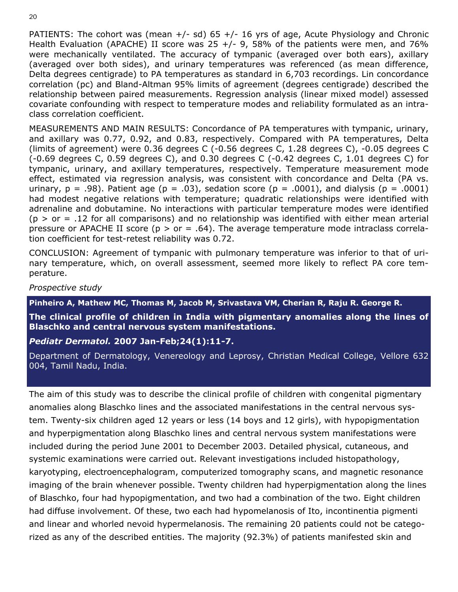PATIENTS: The cohort was (mean  $+/-$  sd) 65  $+/-$  16 yrs of age, Acute Physiology and Chronic Health Evaluation (APACHE) II score was 25  $+/-$  9, 58% of the patients were men, and 76% were mechanically ventilated. The accuracy of tympanic (averaged over both ears), axillary (averaged over both sides), and urinary temperatures was referenced (as mean difference, Delta degrees centigrade) to PA temperatures as standard in 6,703 recordings. Lin concordance correlation (pc) and Bland-Altman 95% limits of agreement (degrees centigrade) described the relationship between paired measurements. Regression analysis (linear mixed model) assessed covariate confounding with respect to temperature modes and reliability formulated as an intraclass correlation coefficient.

MEASUREMENTS AND MAIN RESULTS: Concordance of PA temperatures with tympanic, urinary, and axillary was 0.77, 0.92, and 0.83, respectively. Compared with PA temperatures, Delta (limits of agreement) were 0.36 degrees C (-0.56 degrees C, 1.28 degrees C), -0.05 degrees C  $(-0.69$  degrees C, 0.59 degrees C), and 0.30 degrees C  $(-0.42$  degrees C, 1.01 degrees C) for tympanic, urinary, and axillary temperatures, respectively. Temperature measurement mode effect, estimated via regression analysis, was consistent with concordance and Delta (PA vs. urinary,  $p = .98$ ). Patient age ( $p = .03$ ), sedation score ( $p = .0001$ ), and dialysis ( $p = .0001$ ) had modest negative relations with temperature; quadratic relationships were identified with adrenaline and dobutamine. No interactions with particular temperature modes were identified  $(p > or = .12$  for all comparisons) and no relationship was identified with either mean arterial pressure or APACHE II score ( $p > or = .64$ ). The average temperature mode intraclass correlation coefficient for test-retest reliability was 0.72.

CONCLUSION: Agreement of tympanic with pulmonary temperature was inferior to that of urinary temperature, which, on overall assessment, seemed more likely to reflect PA core temperature.

*Prospective study* 

**Pinheiro A, Mathew MC, Thomas M, Jacob M, Srivastava VM, Cherian R, Raju R. George R.** 

**The clinical profile of children in India with pigmentary anomalies along the lines of Blaschko and central nervous system manifestations.** 

*Pediatr Dermatol.* **2007 Jan-Feb;24(1):11-7.** 

Department of Dermatology, Venereology and Leprosy, Christian Medical College, Vellore 632 004, Tamil Nadu, India.

The aim of this study was to describe the clinical profile of children with congenital pigmentary anomalies along Blaschko lines and the associated manifestations in the central nervous system. Twenty-six children aged 12 years or less (14 boys and 12 girls), with hypopigmentation and hyperpigmentation along Blaschko lines and central nervous system manifestations were included during the period June 2001 to December 2003. Detailed physical, cutaneous, and systemic examinations were carried out. Relevant investigations included histopathology, karyotyping, electroencephalogram, computerized tomography scans, and magnetic resonance imaging of the brain whenever possible. Twenty children had hyperpigmentation along the lines of Blaschko, four had hypopigmentation, and two had a combination of the two. Eight children had diffuse involvement. Of these, two each had hypomelanosis of Ito, incontinentia pigmenti and linear and whorled nevoid hypermelanosis. The remaining 20 patients could not be categorized as any of the described entities. The majority (92.3%) of patients manifested skin and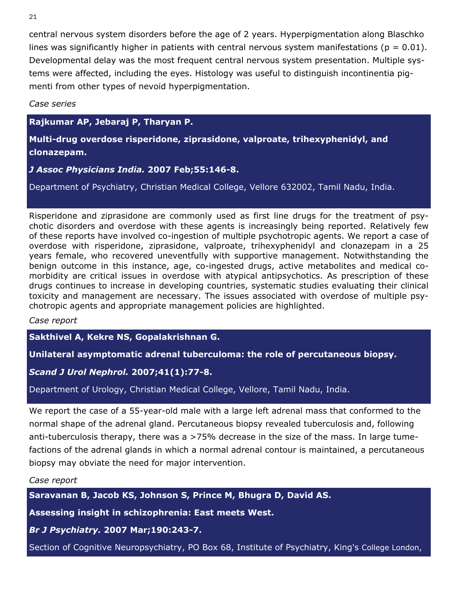central nervous system disorders before the age of 2 years. Hyperpigmentation along Blaschko lines was significantly higher in patients with central nervous system manifestations ( $p = 0.01$ ). Developmental delay was the most frequent central nervous system presentation. Multiple systems were affected, including the eyes. Histology was useful to distinguish incontinentia pigmenti from other types of nevoid hyperpigmentation.

*Case series*

# **Rajkumar AP, Jebaraj P, Tharyan P.**

**Multi-drug overdose risperidone, ziprasidone, valproate, trihexyphenidyl, and clonazepam.** 

*J Assoc Physicians India.* **2007 Feb;55:146-8.** 

Department of Psychiatry, Christian Medical College, Vellore 632002, Tamil Nadu, India.

Risperidone and ziprasidone are commonly used as first line drugs for the treatment of psychotic disorders and overdose with these agents is increasingly being reported. Relatively few of these reports have involved co-ingestion of multiple psychotropic agents. We report a case of overdose with risperidone, ziprasidone, valproate, trihexyphenidyl and clonazepam in a 25 years female, who recovered uneventfully with supportive management. Notwithstanding the benign outcome in this instance, age, co-ingested drugs, active metabolites and medical comorbidity are critical issues in overdose with atypical antipsychotics. As prescription of these drugs continues to increase in developing countries, systematic studies evaluating their clinical toxicity and management are necessary. The issues associated with overdose of multiple psychotropic agents and appropriate management policies are highlighted.

*Case report* 

# **Sakthivel A, Kekre NS, Gopalakrishnan G.**

**Unilateral asymptomatic adrenal tuberculoma: the role of percutaneous biopsy.** 

# *Scand J Urol Nephrol.* **2007;41(1):77-8.**

Department of Urology, Christian Medical College, Vellore, Tamil Nadu, India.

We report the case of a 55-year-old male with a large left adrenal mass that conformed to the normal shape of the adrenal gland. Percutaneous biopsy revealed tuberculosis and, following anti-tuberculosis therapy, there was a >75% decrease in the size of the mass. In large tumefactions of the adrenal glands in which a normal adrenal contour is maintained, a percutaneous biopsy may obviate the need for major intervention.

*Case report*

**Saravanan B, Jacob KS, Johnson S, Prince M, Bhugra D, David AS.** 

**Assessing insight in schizophrenia: East meets West.** 

*Br J Psychiatry.* **2007 Mar;190:243-7.** 

Section of Cognitive Neuropsychiatry, PO Box 68, Institute of Psychiatry, King's College London,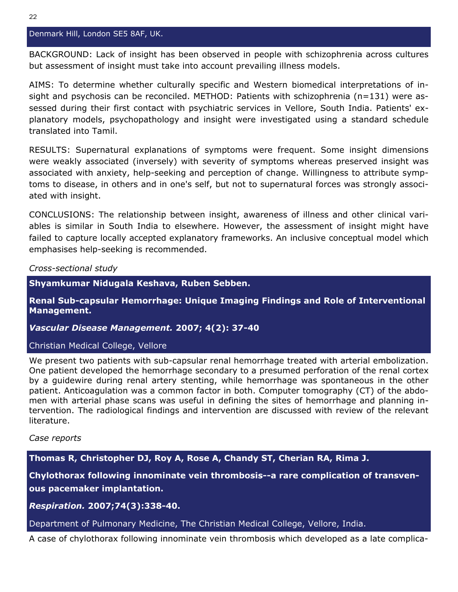Denmark Hill, London SE5 8AF, UK.

BACKGROUND: Lack of insight has been observed in people with schizophrenia across cultures but assessment of insight must take into account prevailing illness models.

AIMS: To determine whether culturally specific and Western biomedical interpretations of insight and psychosis can be reconciled. METHOD: Patients with schizophrenia (n=131) were assessed during their first contact with psychiatric services in Vellore, South India. Patients' explanatory models, psychopathology and insight were investigated using a standard schedule translated into Tamil.

RESULTS: Supernatural explanations of symptoms were frequent. Some insight dimensions were weakly associated (inversely) with severity of symptoms whereas preserved insight was associated with anxiety, help-seeking and perception of change. Willingness to attribute symptoms to disease, in others and in one's self, but not to supernatural forces was strongly associated with insight.

CONCLUSIONS: The relationship between insight, awareness of illness and other clinical variables is similar in South India to elsewhere. However, the assessment of insight might have failed to capture locally accepted explanatory frameworks. An inclusive conceptual model which emphasises help-seeking is recommended.

*Cross-sectional study* 

**Shyamkumar Nidugala Keshava, Ruben Sebben.** 

**Renal Sub-capsular Hemorrhage: Unique Imaging Findings and Role of Interventional Management.** 

*Vascular Disease Management.* **2007; 4(2): 37-40** 

Christian Medical College, Vellore

We present two patients with sub-capsular renal hemorrhage treated with arterial embolization. One patient developed the hemorrhage secondary to a presumed perforation of the renal cortex by a guidewire during renal artery stenting, while hemorrhage was spontaneous in the other patient. Anticoagulation was a common factor in both. Computer tomography (CT) of the abdomen with arterial phase scans was useful in defining the sites of hemorrhage and planning intervention. The radiological findings and intervention are discussed with review of the relevant literature.

*Case reports* 

**Thomas R, Christopher DJ, Roy A, Rose A, Chandy ST, Cherian RA, Rima J.** 

**Chylothorax following innominate vein thrombosis--a rare complication of transvenous pacemaker implantation.** 

*Respiration.* **2007;74(3):338-40.** 

Department of Pulmonary Medicine, The Christian Medical College, Vellore, India.

A case of chylothorax following innominate vein thrombosis which developed as a late complica-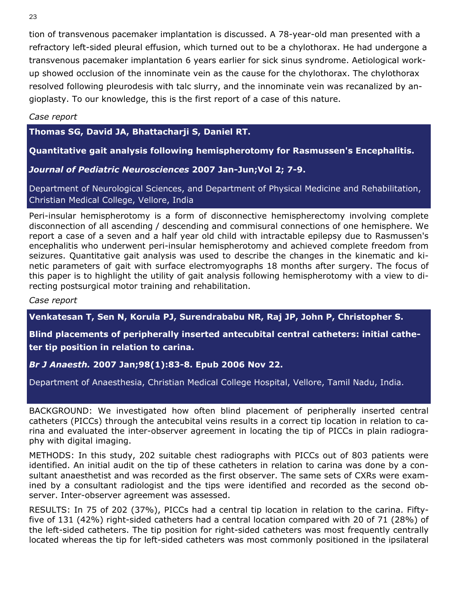tion of transvenous pacemaker implantation is discussed. A 78-year-old man presented with a refractory left-sided pleural effusion, which turned out to be a chylothorax. He had undergone a transvenous pacemaker implantation 6 years earlier for sick sinus syndrome. Aetiological workup showed occlusion of the innominate vein as the cause for the chylothorax. The chylothorax resolved following pleurodesis with talc slurry, and the innominate vein was recanalized by angioplasty. To our knowledge, this is the first report of a case of this nature.

## *Case report*

**Thomas SG, David JA, Bhattacharji S, Daniel RT.** 

**Quantitative gait analysis following hemispherotomy for Rasmussen's Encephalitis.** 

*Journal of Pediatric Neurosciences* **2007 Jan-Jun;Vol 2; 7-9.** 

Department of Neurological Sciences, and Department of Physical Medicine and Rehabilitation, Christian Medical College, Vellore, India

Peri-insular hemispherotomy is a form of disconnective hemispherectomy involving complete disconnection of all ascending / descending and commisural connections of one hemisphere. We report a case of a seven and a half year old child with intractable epilepsy due to Rasmussen's encephalitis who underwent peri-insular hemispherotomy and achieved complete freedom from seizures. Quantitative gait analysis was used to describe the changes in the kinematic and kinetic parameters of gait with surface electromyographs 18 months after surgery. The focus of this paper is to highlight the utility of gait analysis following hemispherotomy with a view to directing postsurgical motor training and rehabilitation.

# *Case report*

**Venkatesan T, Sen N, Korula PJ, Surendrababu NR, Raj JP, John P, Christopher S.** 

**Blind placements of peripherally inserted antecubital central catheters: initial catheter tip position in relation to carina.** 

*Br J Anaesth.* **2007 Jan;98(1):83-8. Epub 2006 Nov 22.** 

Department of Anaesthesia, Christian Medical College Hospital, Vellore, Tamil Nadu, India.

BACKGROUND: We investigated how often blind placement of peripherally inserted central catheters (PICCs) through the antecubital veins results in a correct tip location in relation to carina and evaluated the inter-observer agreement in locating the tip of PICCs in plain radiography with digital imaging.

METHODS: In this study, 202 suitable chest radiographs with PICCs out of 803 patients were identified. An initial audit on the tip of these catheters in relation to carina was done by a consultant anaesthetist and was recorded as the first observer. The same sets of CXRs were examined by a consultant radiologist and the tips were identified and recorded as the second observer. Inter-observer agreement was assessed.

RESULTS: In 75 of 202 (37%), PICCs had a central tip location in relation to the carina. Fiftyfive of 131 (42%) right-sided catheters had a central location compared with 20 of 71 (28%) of the left-sided catheters. The tip position for right-sided catheters was most frequently centrally located whereas the tip for left-sided catheters was most commonly positioned in the ipsilateral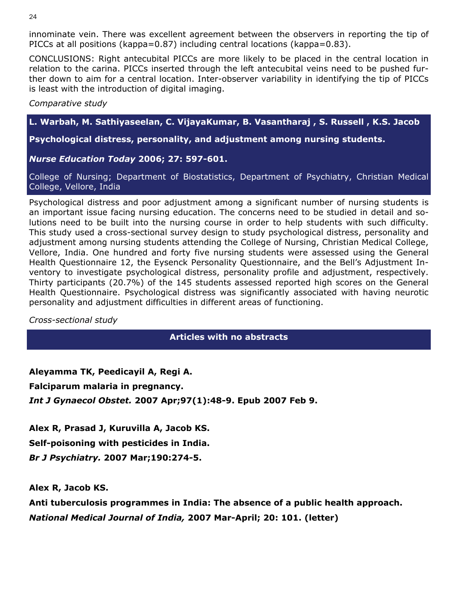innominate vein. There was excellent agreement between the observers in reporting the tip of PICCs at all positions (kappa=0.87) including central locations (kappa=0.83).

CONCLUSIONS: Right antecubital PICCs are more likely to be placed in the central location in relation to the carina. PICCs inserted through the left antecubital veins need to be pushed further down to aim for a central location. Inter-observer variability in identifying the tip of PICCs is least with the introduction of digital imaging.

*Comparative study* 

**L. Warbah, M. Sathiyaseelan, C. VijayaKumar, B. Vasantharaj , S. Russell , K.S. Jacob** 

**Psychological distress, personality, and adjustment among nursing students.** 

## *Nurse Education Today* **2006; 27: 597-601.**

College of Nursing; Department of Biostatistics, Department of Psychiatry, Christian Medical College, Vellore, India

Psychological distress and poor adjustment among a significant number of nursing students is an important issue facing nursing education. The concerns need to be studied in detail and solutions need to be built into the nursing course in order to help students with such difficulty. This study used a cross-sectional survey design to study psychological distress, personality and adjustment among nursing students attending the College of Nursing, Christian Medical College, Vellore, India. One hundred and forty five nursing students were assessed using the General Health Questionnaire 12, the Eysenck Personality Questionnaire, and the Bell's Adjustment Inventory to investigate psychological distress, personality profile and adjustment, respectively. Thirty participants (20.7%) of the 145 students assessed reported high scores on the General Health Questionnaire. Psychological distress was significantly associated with having neurotic personality and adjustment difficulties in different areas of functioning.

*Cross-sectional study* 

## **Articles with no abstracts**

**Aleyamma TK, Peedicayil A, Regi A. Falciparum malaria in pregnancy.**  *Int J Gynaecol Obstet.* **2007 Apr;97(1):48-9. Epub 2007 Feb 9.** 

**Alex R, Prasad J, Kuruvilla A, Jacob KS. Self-poisoning with pesticides in India.**  *Br J Psychiatry.* **2007 Mar;190:274-5.** 

**Alex R, Jacob KS.** 

**Anti tuberculosis programmes in India: The absence of a public health approach.**  *National Medical Journal of India,* **2007 Mar-April; 20: 101. (letter)**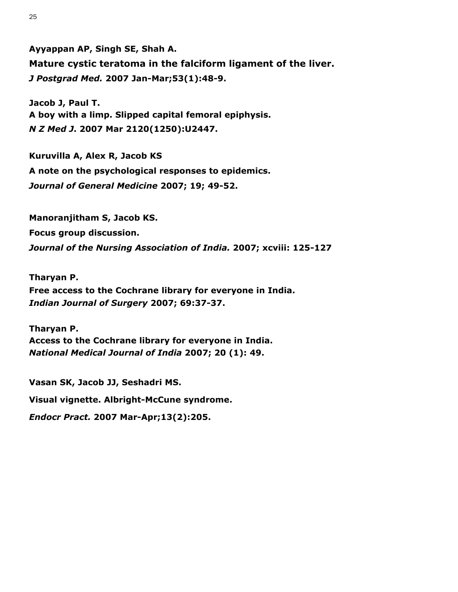**Ayyappan AP, Singh SE, Shah A. Mature cystic teratoma in the falciform ligament of the liver.**  *J Postgrad Med.* **2007 Jan-Mar;53(1):48-9.** 

**Jacob J, Paul T. A boy with a limp. Slipped capital femoral epiphysis.**  *N Z Med J***. 2007 Mar 2120(1250):U2447.** 

**Kuruvilla A, Alex R, Jacob KS A note on the psychological responses to epidemics.**  *Journal of General Medicine* **2007; 19; 49-52.** 

**Manoranjitham S, Jacob KS. Focus group discussion.**  *Journal of the Nursing Association of India.* **2007; xcviii: 125-127** 

**Tharyan P. Free access to the Cochrane library for everyone in India.**  *Indian Journal of Surgery* **2007; 69:37-37.** 

**Tharyan P. Access to the Cochrane library for everyone in India.**  *National Medical Journal of India* **2007; 20 (1): 49.** 

**Vasan SK, Jacob JJ, Seshadri MS. Visual vignette. Albright-McCune syndrome.** 

*Endocr Pract.* **2007 Mar-Apr;13(2):205.**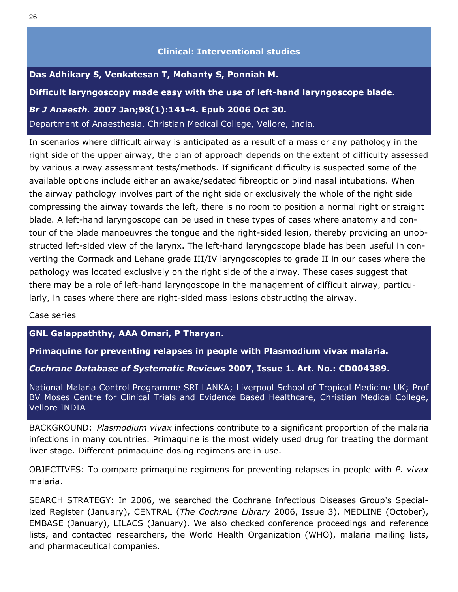#### **Clinical: Interventional studies**

<span id="page-25-0"></span>**Das Adhikary S, Venkatesan T, Mohanty S, Ponniah M.** 

**Difficult laryngoscopy made easy with the use of left-hand laryngoscope blade.** 

*Br J Anaesth.* **2007 Jan;98(1):141-4. Epub 2006 Oct 30.** 

Department of Anaesthesia, Christian Medical College, Vellore, India.

In scenarios where difficult airway is anticipated as a result of a mass or any pathology in the right side of the upper airway, the plan of approach depends on the extent of difficulty assessed by various airway assessment tests/methods. If significant difficulty is suspected some of the available options include either an awake/sedated fibreoptic or blind nasal intubations. When the airway pathology involves part of the right side or exclusively the whole of the right side compressing the airway towards the left, there is no room to position a normal right or straight blade. A left-hand laryngoscope can be used in these types of cases where anatomy and contour of the blade manoeuvres the tongue and the right-sided lesion, thereby providing an unobstructed left-sided view of the larynx. The left-hand laryngoscope blade has been useful in converting the Cormack and Lehane grade III/IV laryngoscopies to grade II in our cases where the pathology was located exclusively on the right side of the airway. These cases suggest that there may be a role of left-hand laryngoscope in the management of difficult airway, particularly, in cases where there are right-sided mass lesions obstructing the airway.

Case series

**GNL Galappaththy, AAA Omari, P Tharyan.** 

**Primaquine for preventing relapses in people with Plasmodium vivax malaria.** 

*Cochrane Database of Systematic Reviews* **2007, Issue 1. Art. No.: CD004389.** 

National Malaria Control Programme SRI LANKA; Liverpool School of Tropical Medicine UK; Prof BV Moses Centre for Clinical Trials and Evidence Based Healthcare, Christian Medical College, Vellore INDIA

BACKGROUND: *Plasmodium vivax* infections contribute to a significant proportion of the malaria infections in many countries. Primaquine is the most widely used drug for treating the dormant liver stage. Different primaquine dosing regimens are in use.

OBJECTIVES: To compare primaquine regimens for preventing relapses in people with *P. vivax*  malaria.

SEARCH STRATEGY: In 2006, we searched the Cochrane Infectious Diseases Group's Specialized Register (January), CENTRAL (*The Cochrane Library* 2006, Issue 3), MEDLINE (October), EMBASE (January), LILACS (January). We also checked conference proceedings and reference lists, and contacted researchers, the World Health Organization (WHO), malaria mailing lists, and pharmaceutical companies.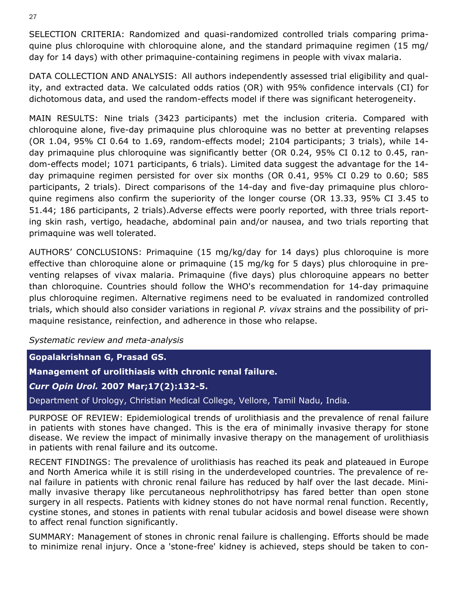SELECTION CRITERIA: Randomized and quasi-randomized controlled trials comparing primaquine plus chloroquine with chloroquine alone, and the standard primaquine regimen (15 mg/ day for 14 days) with other primaquine-containing regimens in people with vivax malaria.

DATA COLLECTION AND ANALYSIS: All authors independently assessed trial eligibility and quality, and extracted data. We calculated odds ratios (OR) with 95% confidence intervals (CI) for dichotomous data, and used the random-effects model if there was significant heterogeneity.

MAIN RESULTS: Nine trials (3423 participants) met the inclusion criteria. Compared with chloroquine alone, five-day primaquine plus chloroquine was no better at preventing relapses (OR 1.04, 95% CI 0.64 to 1.69, random-effects model; 2104 participants; 3 trials), while 14 day primaquine plus chloroquine was significantly better (OR 0.24, 95% CI 0.12 to 0.45, random-effects model; 1071 participants, 6 trials). Limited data suggest the advantage for the 14 day primaquine regimen persisted for over six months (OR 0.41, 95% CI 0.29 to 0.60; 585 participants, 2 trials). Direct comparisons of the 14-day and five-day primaquine plus chloroquine regimens also confirm the superiority of the longer course (OR 13.33, 95% CI 3.45 to 51.44; 186 participants, 2 trials).Adverse effects were poorly reported, with three trials reporting skin rash, vertigo, headache, abdominal pain and/or nausea, and two trials reporting that primaquine was well tolerated.

AUTHORS' CONCLUSIONS: Primaquine (15 mg/kg/day for 14 days) plus chloroquine is more effective than chloroquine alone or primaquine (15 mg/kg for 5 days) plus chloroquine in preventing relapses of vivax malaria. Primaquine (five days) plus chloroquine appears no better than chloroquine. Countries should follow the WHO's recommendation for 14-day primaquine plus chloroquine regimen. Alternative regimens need to be evaluated in randomized controlled trials, which should also consider variations in regional *P. vivax* strains and the possibility of primaquine resistance, reinfection, and adherence in those who relapse.

*Systematic review and meta-analysis*

**Gopalakrishnan G, Prasad GS.** 

**Management of urolithiasis with chronic renal failure.** 

*Curr Opin Urol.* **2007 Mar;17(2):132-5.** 

Department of Urology, Christian Medical College, Vellore, Tamil Nadu, India.

PURPOSE OF REVIEW: Epidemiological trends of urolithiasis and the prevalence of renal failure in patients with stones have changed. This is the era of minimally invasive therapy for stone disease. We review the impact of minimally invasive therapy on the management of urolithiasis in patients with renal failure and its outcome.

RECENT FINDINGS: The prevalence of urolithiasis has reached its peak and plateaued in Europe and North America while it is still rising in the underdeveloped countries. The prevalence of renal failure in patients with chronic renal failure has reduced by half over the last decade. Minimally invasive therapy like percutaneous nephrolithotripsy has fared better than open stone surgery in all respects. Patients with kidney stones do not have normal renal function. Recently, cystine stones, and stones in patients with renal tubular acidosis and bowel disease were shown to affect renal function significantly.

SUMMARY: Management of stones in chronic renal failure is challenging. Efforts should be made to minimize renal injury. Once a 'stone-free' kidney is achieved, steps should be taken to con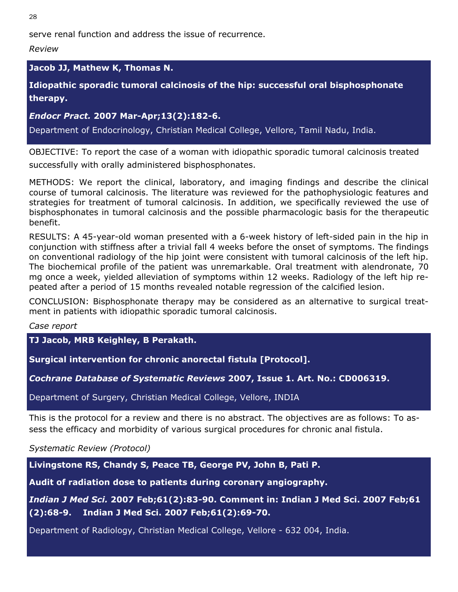28

serve renal function and address the issue of recurrence.

*Review* 

## **Jacob JJ, Mathew K, Thomas N.**

**Idiopathic sporadic tumoral calcinosis of the hip: successful oral bisphosphonate therapy.** 

## *Endocr Pract.* **2007 Mar-Apr;13(2):182-6.**

Department of Endocrinology, Christian Medical College, Vellore, Tamil Nadu, India.

OBJECTIVE: To report the case of a woman with idiopathic sporadic tumoral calcinosis treated successfully with orally administered bisphosphonates.

METHODS: We report the clinical, laboratory, and imaging findings and describe the clinical course of tumoral calcinosis. The literature was reviewed for the pathophysiologic features and strategies for treatment of tumoral calcinosis. In addition, we specifically reviewed the use of bisphosphonates in tumoral calcinosis and the possible pharmacologic basis for the therapeutic benefit.

RESULTS: A 45-year-old woman presented with a 6-week history of left-sided pain in the hip in conjunction with stiffness after a trivial fall 4 weeks before the onset of symptoms. The findings on conventional radiology of the hip joint were consistent with tumoral calcinosis of the left hip. The biochemical profile of the patient was unremarkable. Oral treatment with alendronate, 70 mg once a week, yielded alleviation of symptoms within 12 weeks. Radiology of the left hip repeated after a period of 15 months revealed notable regression of the calcified lesion.

CONCLUSION: Bisphosphonate therapy may be considered as an alternative to surgical treatment in patients with idiopathic sporadic tumoral calcinosis.

*Case report* 

**TJ Jacob, MRB Keighley, B Perakath.** 

**Surgical intervention for chronic anorectal fistula [Protocol].** 

*Cochrane Database of Systematic Reviews* **2007, Issue 1. Art. No.: CD006319.** 

Department of Surgery, Christian Medical College, Vellore, INDIA

This is the protocol for a review and there is no abstract. The objectives are as follows: To assess the efficacy and morbidity of various surgical procedures for chronic anal fistula.

*Systematic Review (Protocol)* 

**Livingstone RS, Chandy S, Peace TB, George PV, John B, Pati P.** 

**Audit of radiation dose to patients during coronary angiography.** 

*Indian J Med Sci.* **2007 Feb;61(2):83-90. Comment in: Indian J Med Sci. 2007 Feb;61 (2):68-9. Indian J Med Sci. 2007 Feb;61(2):69-70.** 

Department of Radiology, Christian Medical College, Vellore - 632 004, India.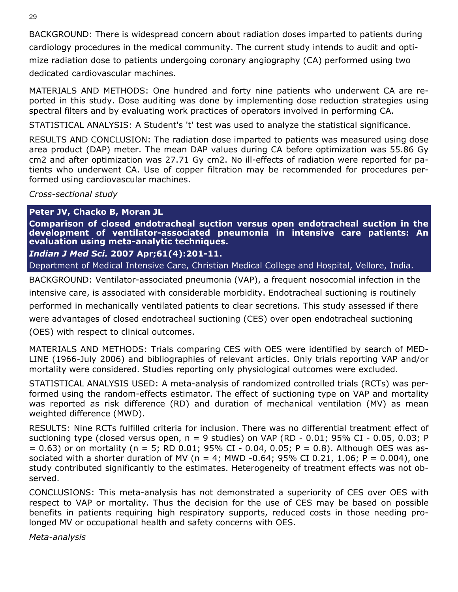BACKGROUND: There is widespread concern about radiation doses imparted to patients during cardiology procedures in the medical community. The current study intends to audit and optimize radiation dose to patients undergoing coronary angiography (CA) performed using two dedicated cardiovascular machines.

MATERIALS AND METHODS: One hundred and forty nine patients who underwent CA are reported in this study. Dose auditing was done by implementing dose reduction strategies using spectral filters and by evaluating work practices of operators involved in performing CA.

STATISTICAL ANALYSIS: A Student's 't' test was used to analyze the statistical significance.

RESULTS AND CONCLUSION: The radiation dose imparted to patients was measured using dose area product (DAP) meter. The mean DAP values during CA before optimization was 55.86 Gy cm2 and after optimization was 27.71 Gy cm2. No ill-effects of radiation were reported for patients who underwent CA. Use of copper filtration may be recommended for procedures performed using cardiovascular machines.

*Cross-sectional study* 

## **Peter JV, Chacko B, Moran JL**

**Comparison of closed endotracheal suction versus open endotracheal suction in the development of ventilator-associated pneumonia in intensive care patients: An evaluation using meta-analytic techniques.** 

*Indian J Med Sci.* **2007 Apr;61(4):201-11.** 

Department of Medical Intensive Care, Christian Medical College and Hospital, Vellore, India.

BACKGROUND: Ventilator-associated pneumonia (VAP), a frequent nosocomial infection in the intensive care, is associated with considerable morbidity. Endotracheal suctioning is routinely performed in mechanically ventilated patients to clear secretions. This study assessed if there were advantages of closed endotracheal suctioning (CES) over open endotracheal suctioning (OES) with respect to clinical outcomes.

MATERIALS AND METHODS: Trials comparing CES with OES were identified by search of MED-LINE (1966-July 2006) and bibliographies of relevant articles. Only trials reporting VAP and/or mortality were considered. Studies reporting only physiological outcomes were excluded.

STATISTICAL ANALYSIS USED: A meta-analysis of randomized controlled trials (RCTs) was performed using the random-effects estimator. The effect of suctioning type on VAP and mortality was reported as risk difference (RD) and duration of mechanical ventilation (MV) as mean weighted difference (MWD).

RESULTS: Nine RCTs fulfilled criteria for inclusion. There was no differential treatment effect of suctioning type (closed versus open,  $n = 9$  studies) on VAP (RD - 0.01; 95% CI - 0.05, 0.03; P  $= 0.63$ ) or on mortality (n = 5; RD 0.01; 95% CI - 0.04, 0.05; P = 0.8). Although OES was associated with a shorter duration of MV ( $n = 4$ ; MWD -0.64; 95% CI 0.21, 1.06; P = 0.004), one study contributed significantly to the estimates. Heterogeneity of treatment effects was not observed.

CONCLUSIONS: This meta-analysis has not demonstrated a superiority of CES over OES with respect to VAP or mortality. Thus the decision for the use of CES may be based on possible benefits in patients requiring high respiratory supports, reduced costs in those needing prolonged MV or occupational health and safety concerns with OES.

*Meta-analysis*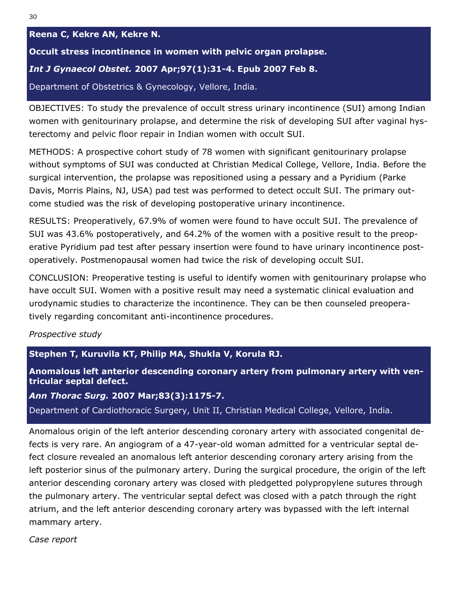**Reena C, Kekre AN, Kekre N.** 

**Occult stress incontinence in women with pelvic organ prolapse.** 

# *Int J Gynaecol Obstet.* **2007 Apr;97(1):31-4. Epub 2007 Feb 8.**

Department of Obstetrics & Gynecology, Vellore, India.

OBJECTIVES: To study the prevalence of occult stress urinary incontinence (SUI) among Indian women with genitourinary prolapse, and determine the risk of developing SUI after vaginal hysterectomy and pelvic floor repair in Indian women with occult SUI.

METHODS: A prospective cohort study of 78 women with significant genitourinary prolapse without symptoms of SUI was conducted at Christian Medical College, Vellore, India. Before the surgical intervention, the prolapse was repositioned using a pessary and a Pyridium (Parke Davis, Morris Plains, NJ, USA) pad test was performed to detect occult SUI. The primary outcome studied was the risk of developing postoperative urinary incontinence.

RESULTS: Preoperatively, 67.9% of women were found to have occult SUI. The prevalence of SUI was 43.6% postoperatively, and 64.2% of the women with a positive result to the preoperative Pyridium pad test after pessary insertion were found to have urinary incontinence postoperatively. Postmenopausal women had twice the risk of developing occult SUI.

CONCLUSION: Preoperative testing is useful to identify women with genitourinary prolapse who have occult SUI. Women with a positive result may need a systematic clinical evaluation and urodynamic studies to characterize the incontinence. They can be then counseled preoperatively regarding concomitant anti-incontinence procedures.

## *Prospective study*

**Stephen T, Kuruvila KT, Philip MA, Shukla V, Korula RJ.** 

**Anomalous left anterior descending coronary artery from pulmonary artery with ventricular septal defect.** 

*Ann Thorac Surg.* **2007 Mar;83(3):1175-7.** 

Department of Cardiothoracic Surgery, Unit II, Christian Medical College, Vellore, India.

Anomalous origin of the left anterior descending coronary artery with associated congenital defects is very rare. An angiogram of a 47-year-old woman admitted for a ventricular septal defect closure revealed an anomalous left anterior descending coronary artery arising from the left posterior sinus of the pulmonary artery. During the surgical procedure, the origin of the left anterior descending coronary artery was closed with pledgetted polypropylene sutures through the pulmonary artery. The ventricular septal defect was closed with a patch through the right atrium, and the left anterior descending coronary artery was bypassed with the left internal mammary artery.

*Case report*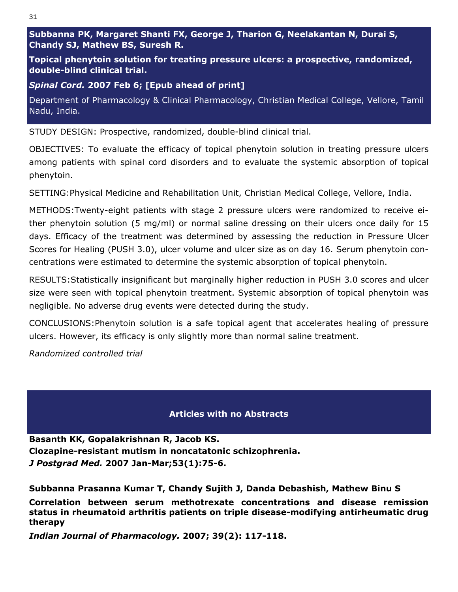**Subbanna PK, Margaret Shanti FX, George J, Tharion G, Neelakantan N, Durai S, Chandy SJ, Mathew BS, Suresh R.** 

**Topical phenytoin solution for treating pressure ulcers: a prospective, randomized, double-blind clinical trial.** 

*Spinal Cord.* **2007 Feb 6; [Epub ahead of print]** 

Department of Pharmacology & Clinical Pharmacology, Christian Medical College, Vellore, Tamil Nadu, India.

STUDY DESIGN: Prospective, randomized, double-blind clinical trial.

OBJECTIVES: To evaluate the efficacy of topical phenytoin solution in treating pressure ulcers among patients with spinal cord disorders and to evaluate the systemic absorption of topical phenytoin.

SETTING:Physical Medicine and Rehabilitation Unit, Christian Medical College, Vellore, India.

METHODS:Twenty-eight patients with stage 2 pressure ulcers were randomized to receive either phenytoin solution (5 mg/ml) or normal saline dressing on their ulcers once daily for 15 days. Efficacy of the treatment was determined by assessing the reduction in Pressure Ulcer Scores for Healing (PUSH 3.0), ulcer volume and ulcer size as on day 16. Serum phenytoin concentrations were estimated to determine the systemic absorption of topical phenytoin.

RESULTS:Statistically insignificant but marginally higher reduction in PUSH 3.0 scores and ulcer size were seen with topical phenytoin treatment. Systemic absorption of topical phenytoin was negligible. No adverse drug events were detected during the study.

CONCLUSIONS:Phenytoin solution is a safe topical agent that accelerates healing of pressure ulcers. However, its efficacy is only slightly more than normal saline treatment.

*Randomized controlled trial*

# **Articles with no Abstracts**

**Basanth KK, Gopalakrishnan R, Jacob KS. Clozapine-resistant mutism in noncatatonic schizophrenia.**  *J Postgrad Med.* **2007 Jan-Mar;53(1):75-6.** 

**Subbanna Prasanna Kumar T, Chandy Sujith J, Danda Debashish, Mathew Binu S** 

**Correlation between serum methotrexate concentrations and disease remission status in rheumatoid arthritis patients on triple disease-modifying antirheumatic drug therapy** 

*Indian Journal of Pharmacology.* **2007; 39(2): 117-118.**